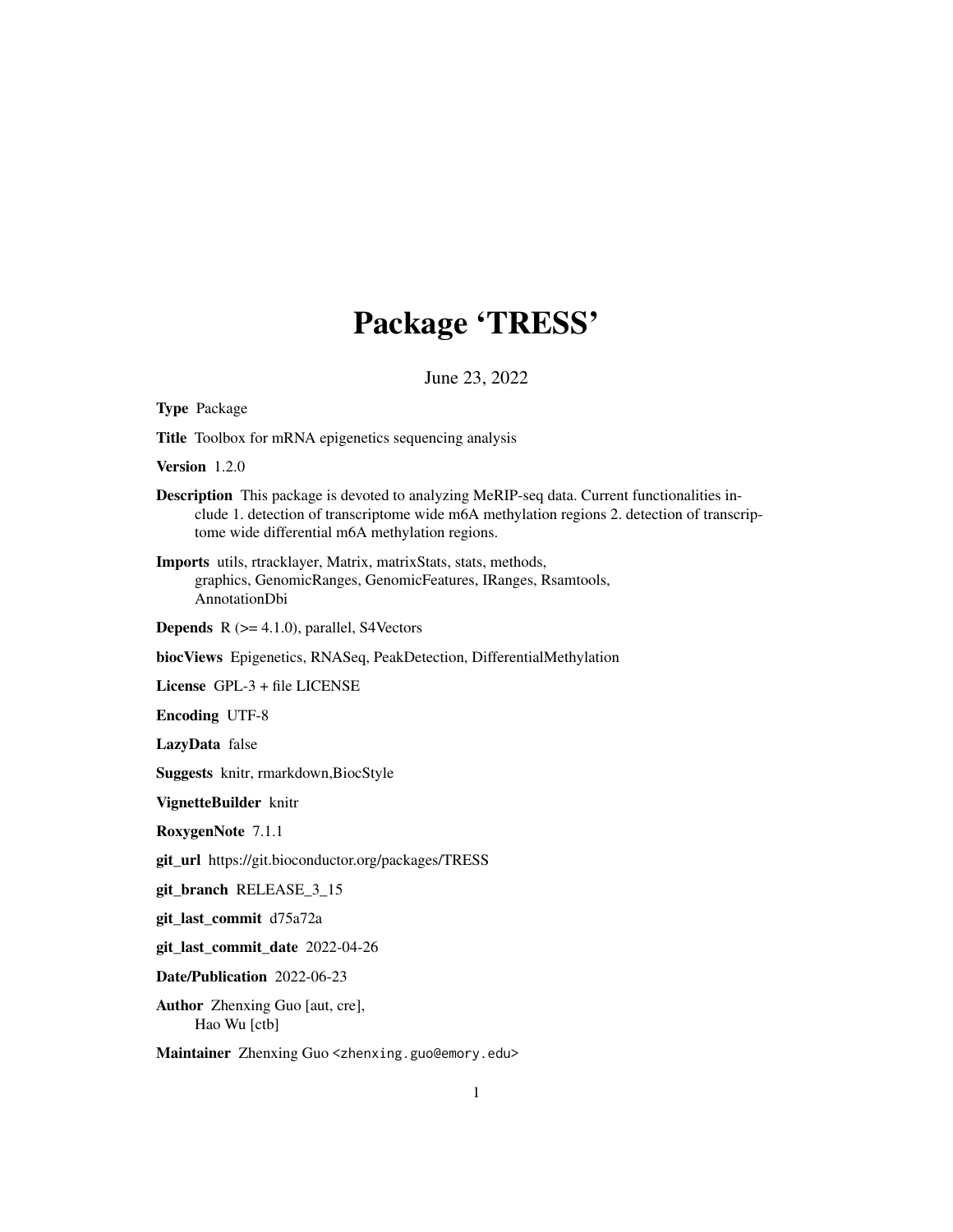# Package 'TRESS'

June 23, 2022

<span id="page-0-0"></span>Type Package Title Toolbox for mRNA epigenetics sequencing analysis Version 1.2.0 Description This package is devoted to analyzing MeRIP-seq data. Current functionalities include 1. detection of transcriptome wide m6A methylation regions 2. detection of transcriptome wide differential m6A methylation regions. Imports utils, rtracklayer, Matrix, matrixStats, stats, methods, graphics, GenomicRanges, GenomicFeatures, IRanges, Rsamtools, AnnotationDbi **Depends**  $R$  ( $>= 4.1.0$ ), parallel, S4Vectors biocViews Epigenetics, RNASeq, PeakDetection, DifferentialMethylation License GPL-3 + file LICENSE Encoding UTF-8 LazyData false Suggests knitr, rmarkdown,BiocStyle VignetteBuilder knitr RoxygenNote 7.1.1 git\_url https://git.bioconductor.org/packages/TRESS git\_branch RELEASE\_3\_15 git\_last\_commit d75a72a git\_last\_commit\_date 2022-04-26 Date/Publication 2022-06-23 Author Zhenxing Guo [aut, cre], Hao Wu [ctb] Maintainer Zhenxing Guo <zhenxing.guo@emory.edu>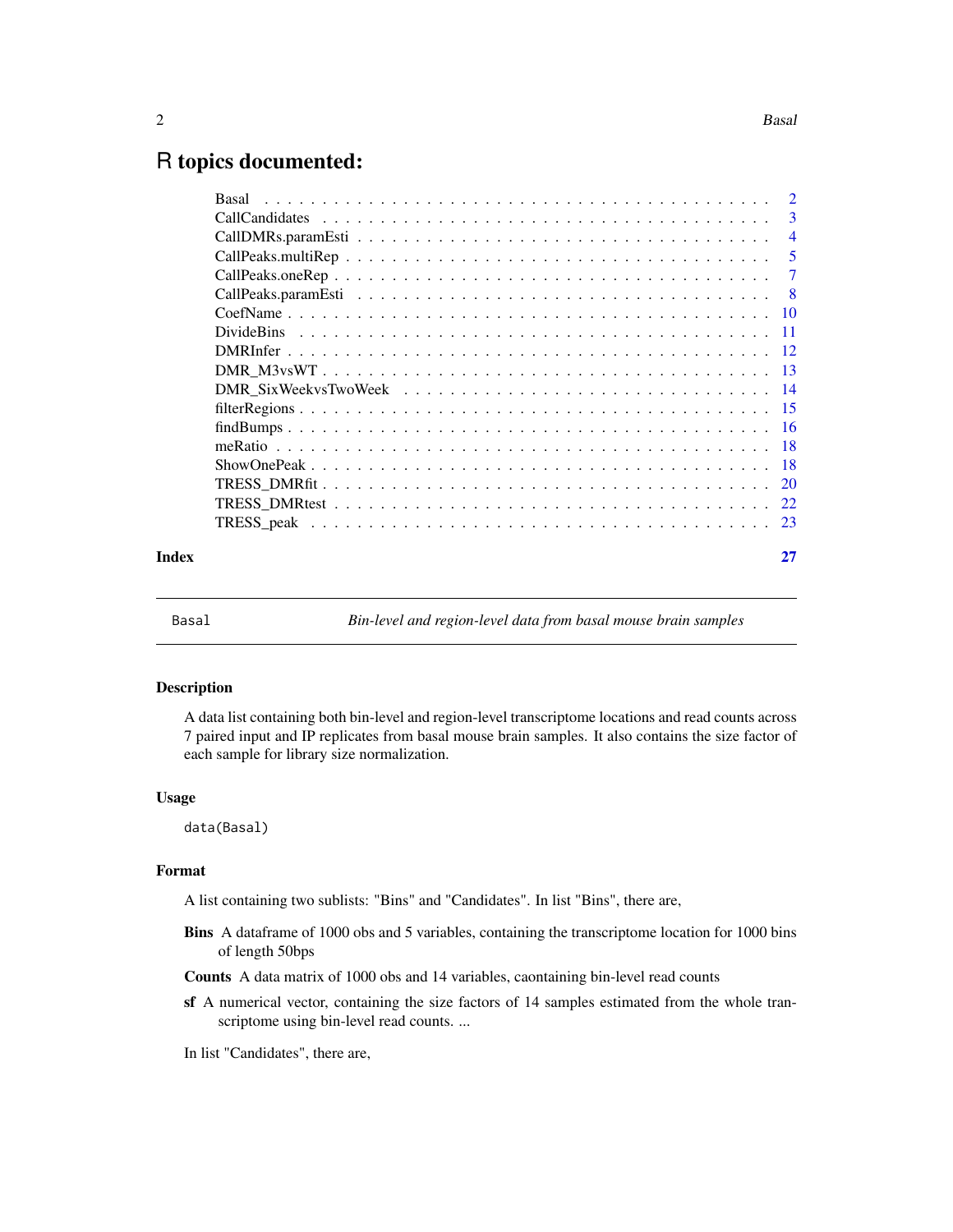## <span id="page-1-0"></span>R topics documented:

|       | Basal |                |
|-------|-------|----------------|
|       |       |                |
|       |       |                |
|       |       | $\overline{5}$ |
|       |       |                |
|       |       |                |
|       |       |                |
|       |       |                |
|       |       |                |
|       |       |                |
|       |       |                |
|       |       |                |
|       |       |                |
|       |       |                |
|       |       |                |
|       |       |                |
|       |       |                |
|       |       |                |
| Index |       | 27             |

Basal *Bin-level and region-level data from basal mouse brain samples*

#### Description

A data list containing both bin-level and region-level transcriptome locations and read counts across 7 paired input and IP replicates from basal mouse brain samples. It also contains the size factor of each sample for library size normalization.

#### Usage

data(Basal)

#### Format

A list containing two sublists: "Bins" and "Candidates". In list "Bins", there are,

- Bins A dataframe of 1000 obs and 5 variables, containing the transcriptome location for 1000 bins of length 50bps
- Counts A data matrix of 1000 obs and 14 variables, caontaining bin-level read counts
- sf A numerical vector, containing the size factors of 14 samples estimated from the whole transcriptome using bin-level read counts. ...

In list "Candidates", there are,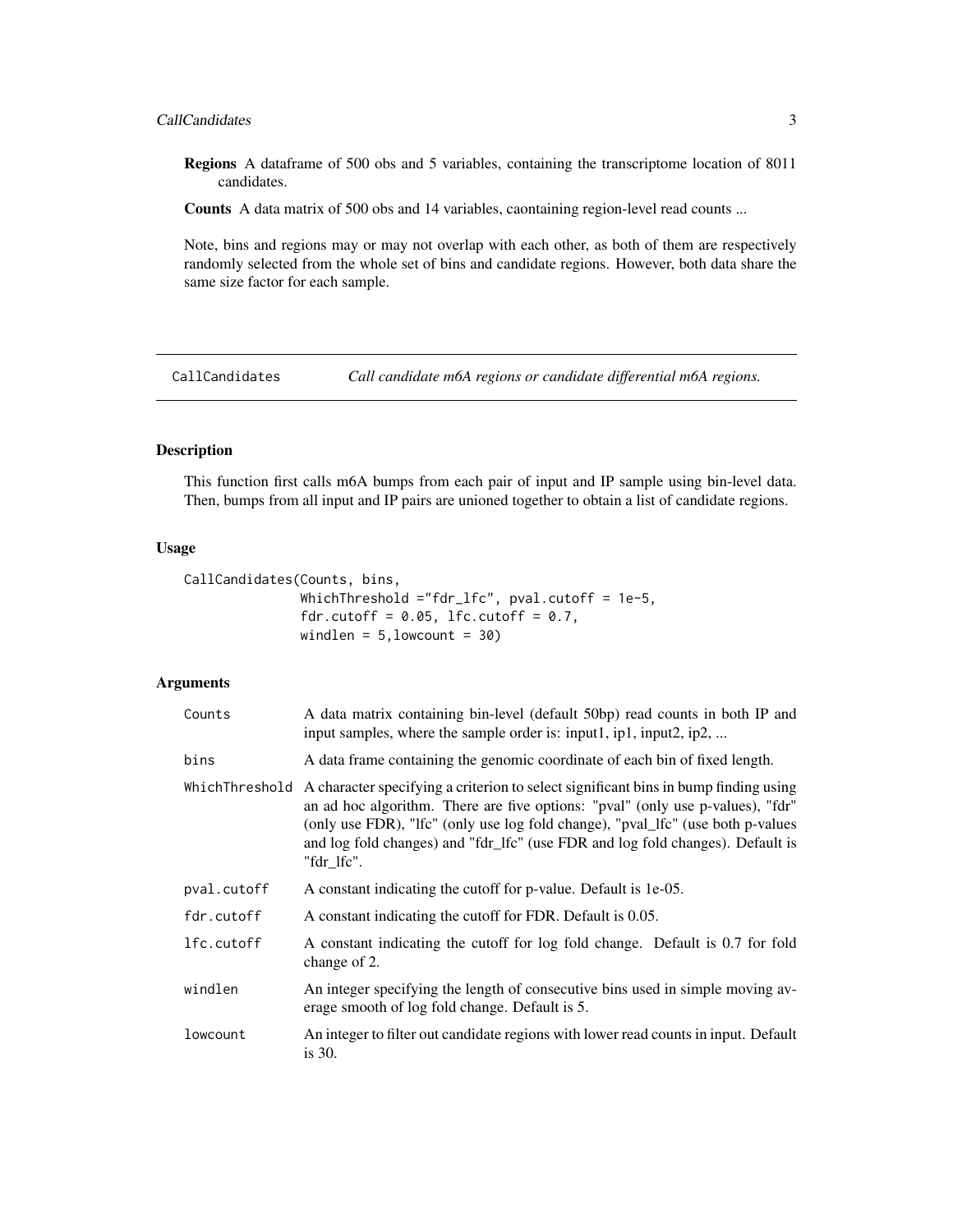#### <span id="page-2-0"></span>CallCandidates 3

Regions A dataframe of 500 obs and 5 variables, containing the transcriptome location of 8011 candidates.

Counts A data matrix of 500 obs and 14 variables, caontaining region-level read counts ...

Note, bins and regions may or may not overlap with each other, as both of them are respectively randomly selected from the whole set of bins and candidate regions. However, both data share the same size factor for each sample.

<span id="page-2-1"></span>CallCandidates *Call candidate m6A regions or candidate differential m6A regions.*

#### Description

This function first calls m6A bumps from each pair of input and IP sample using bin-level data. Then, bumps from all input and IP pairs are unioned together to obtain a list of candidate regions.

#### Usage

```
CallCandidates(Counts, bins,
               WhichThreshold ="fdr_lfc", pval.cutoff = 1e-5,
               fdr.cutoff = 0.05, lfc.cutoff = 0.7,
               windlen = 5, lowcount = 30)
```
#### Arguments

| Counts         | A data matrix containing bin-level (default 50bp) read counts in both IP and<br>input samples, where the sample order is: input1, ip1, input2, ip2,                                                                                                                                                                                                      |
|----------------|----------------------------------------------------------------------------------------------------------------------------------------------------------------------------------------------------------------------------------------------------------------------------------------------------------------------------------------------------------|
| bins           | A data frame containing the genomic coordinate of each bin of fixed length.                                                                                                                                                                                                                                                                              |
| WhichThreshold | A character specifying a criterion to select significant bins in bump finding using<br>an ad hoc algorithm. There are five options: "pval" (only use p-values), "fdr"<br>(only use FDR), "Ifc" (only use log fold change), "pval_lfc" (use both p-values<br>and log fold changes) and "fdr_lfc" (use FDR and log fold changes). Default is<br>"fdr_lfc". |
| pval.cutoff    | A constant indicating the cutoff for p-value. Default is 1e-05.                                                                                                                                                                                                                                                                                          |
| fdr.cutoff     | A constant indicating the cutoff for FDR. Default is 0.05.                                                                                                                                                                                                                                                                                               |
| lfc.cutoff     | A constant indicating the cutoff for log fold change. Default is 0.7 for fold<br>change of 2.                                                                                                                                                                                                                                                            |
| windlen        | An integer specifying the length of consecutive bins used in simple moving av-<br>erage smooth of log fold change. Default is 5.                                                                                                                                                                                                                         |
| lowcount       | An integer to filter out candidate regions with lower read counts in input. Default<br>is $30$ .                                                                                                                                                                                                                                                         |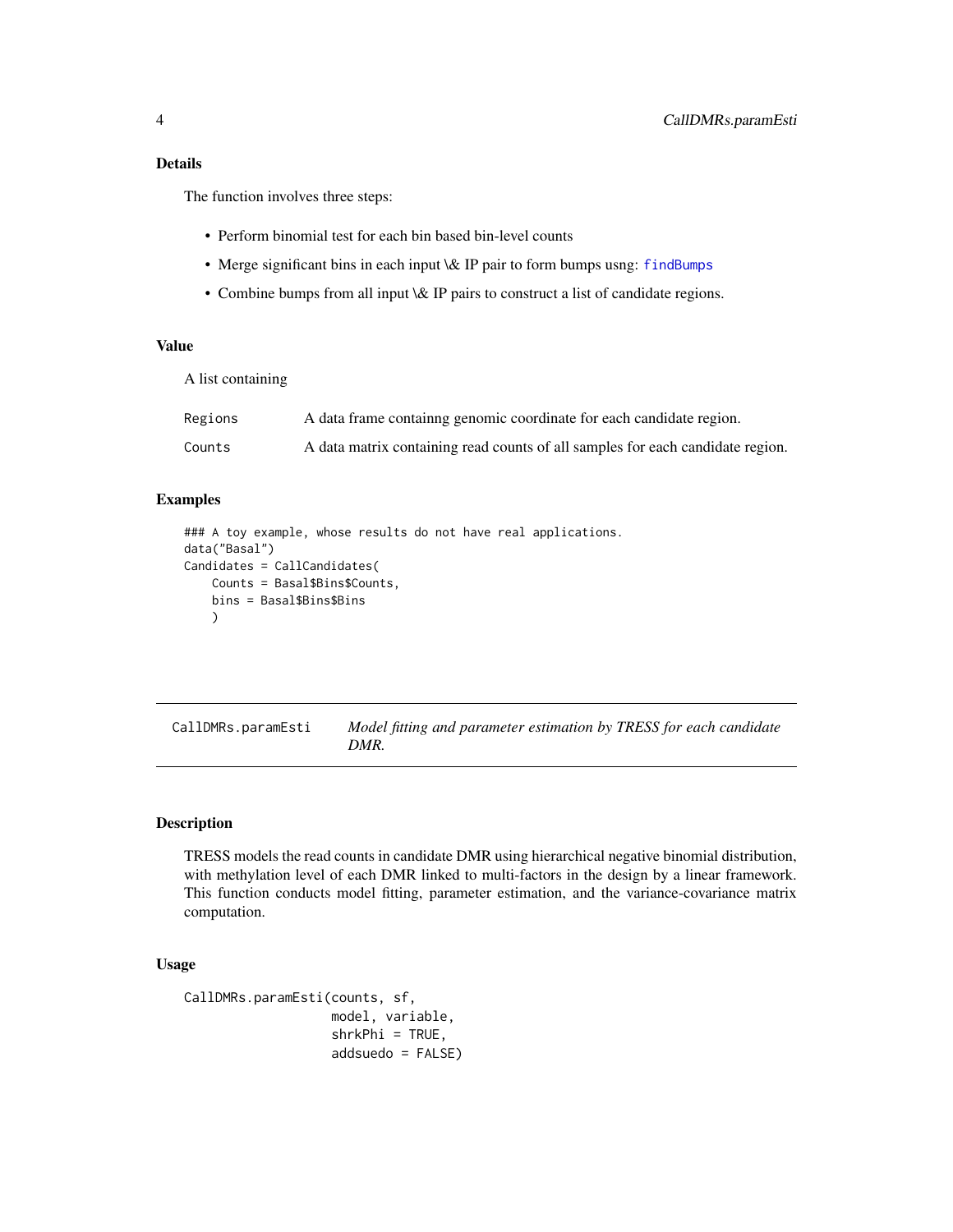#### <span id="page-3-0"></span>Details

The function involves three steps:

- Perform binomial test for each bin based bin-level counts
- Merge significant bins in each input \& IP pair to form bumps usng: [findBumps](#page-15-1)
- Combine bumps from all input \& IP pairs to construct a list of candidate regions.

#### Value

A list containing

| Regions | A data frame containing genomic coordinate for each candidate region.          |
|---------|--------------------------------------------------------------------------------|
| Counts  | A data matrix containing read counts of all samples for each candidate region. |

#### Examples

```
### A toy example, whose results do not have real applications.
data("Basal")
Candidates = CallCandidates(
   Counts = Basal$Bins$Counts,
   bins = Basal$Bins$Bins
   )
```
<span id="page-3-1"></span>CallDMRs.paramEsti *Model fitting and parameter estimation by TRESS for each candidate DMR.*

#### Description

TRESS models the read counts in candidate DMR using hierarchical negative binomial distribution, with methylation level of each DMR linked to multi-factors in the design by a linear framework. This function conducts model fitting, parameter estimation, and the variance-covariance matrix computation.

#### Usage

```
CallDMRs.paramEsti(counts, sf,
                   model, variable,
                   shrkPhi = TRUE,
                   addsuedo = FALSE)
```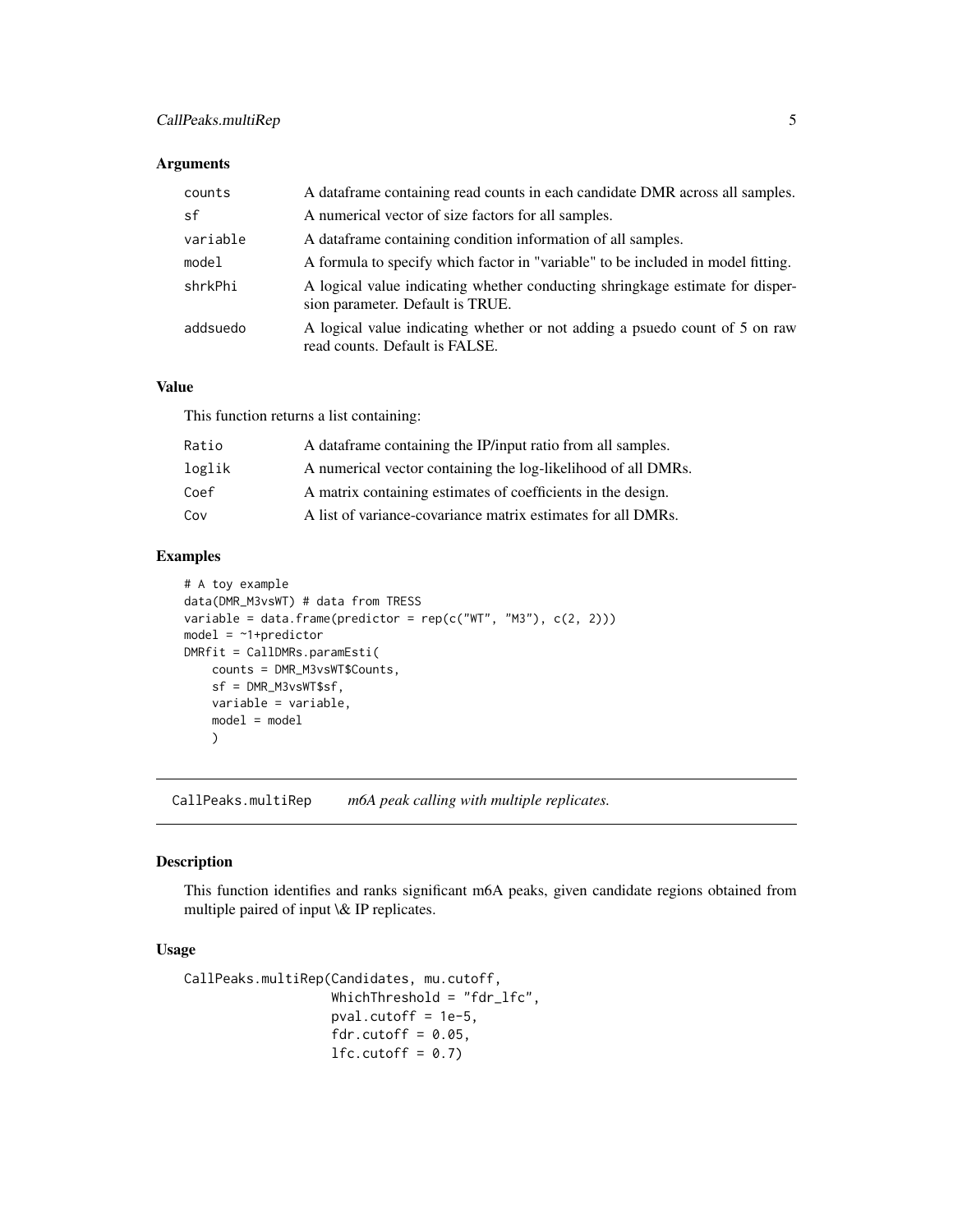#### <span id="page-4-0"></span>CallPeaks.multiRep 5

#### Arguments

| counts   | A data frame containing read counts in each candidate DMR across all samples.                                     |
|----------|-------------------------------------------------------------------------------------------------------------------|
| sf       | A numerical vector of size factors for all samples.                                                               |
| variable | A data frame containing condition information of all samples.                                                     |
| model    | A formula to specify which factor in "variable" to be included in model fitting.                                  |
| shrkPhi  | A logical value indicating whether conducting shringkage estimate for disper-<br>sion parameter. Default is TRUE. |
| addsuedo | A logical value indicating whether or not adding a psuedo count of 5 on raw<br>read counts. Default is FALSE.     |

#### Value

This function returns a list containing:

| Ratio  | A dataframe containing the IP/input ratio from all samples.   |
|--------|---------------------------------------------------------------|
| loglik | A numerical vector containing the log-likelihood of all DMRs. |
| Coef   | A matrix containing estimates of coefficients in the design.  |
| Cov    | A list of variance-covariance matrix estimates for all DMRs.  |

#### Examples

```
# A toy example
data(DMR_M3vsWT) # data from TRESS
variable = data.frame(predictor = rep(c("WT", "M3"), c(2, 2)))model = ~1+predictor
DMRfit = CallDMRs.paramEsti(
   counts = DMR_M3vsWT$Counts,
   sf = DMR_M3vsWT$sf,
   variable = variable,
   model = model)
```
<span id="page-4-1"></span>CallPeaks.multiRep *m6A peak calling with multiple replicates.*

#### Description

This function identifies and ranks significant m6A peaks, given candidate regions obtained from multiple paired of input \& IP replicates.

#### Usage

```
CallPeaks.multiRep(Candidates, mu.cutoff,
                   WhichThreshold = "fdr_lfc",
                   pval.cutoff = 1e-5,
                   fdr.cutoff = 0.05,
                   lfc.cutoff = 0.7)
```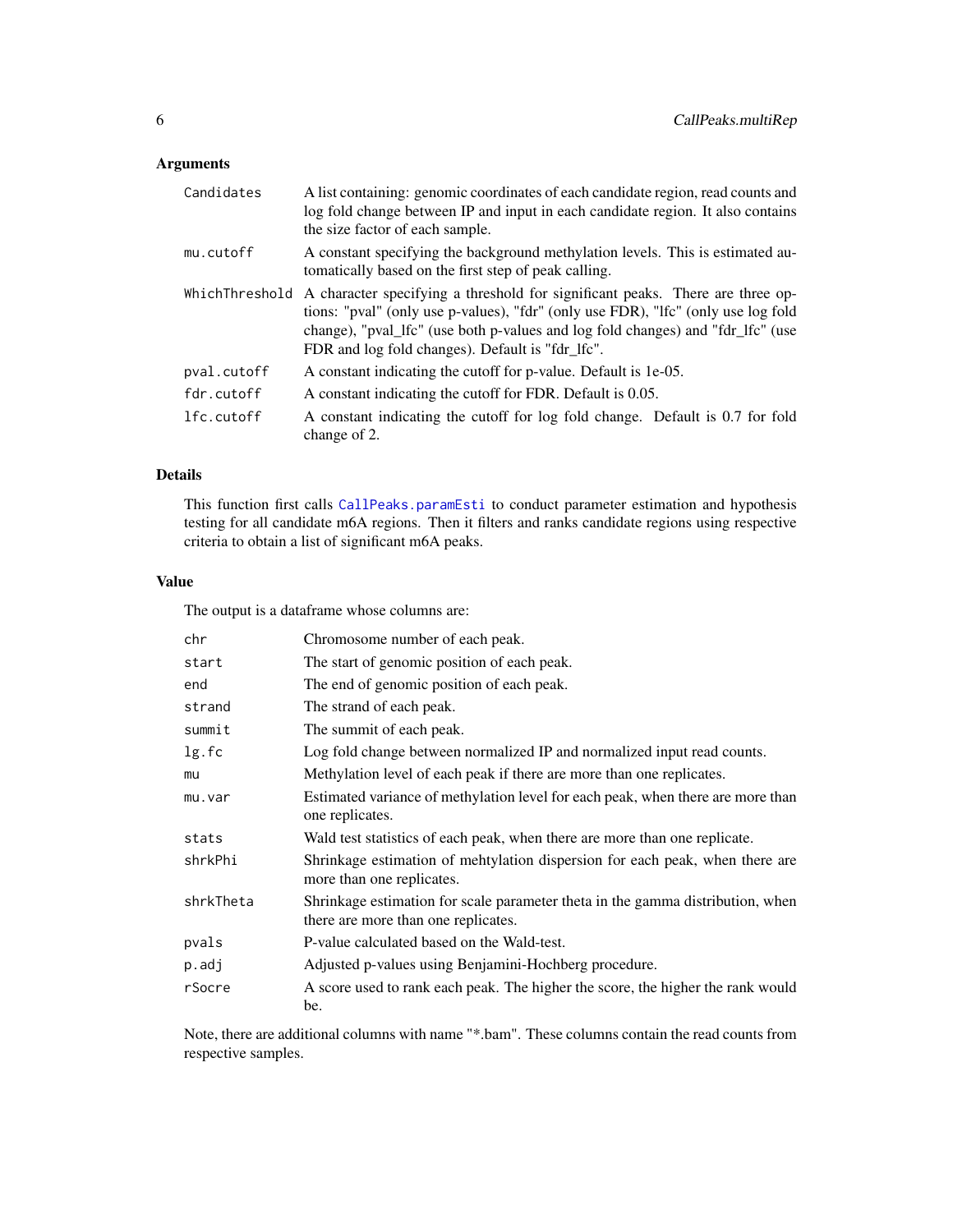#### <span id="page-5-0"></span>Arguments

| Candidates     | A list containing: genomic coordinates of each candidate region, read counts and<br>log fold change between IP and input in each candidate region. It also contains<br>the size factor of each sample.                                                                                                    |
|----------------|-----------------------------------------------------------------------------------------------------------------------------------------------------------------------------------------------------------------------------------------------------------------------------------------------------------|
| mu.cutoff      | A constant specifying the background methylation levels. This is estimated au-<br>to the first step of peak calling.                                                                                                                                                                                      |
| WhichThreshold | A character specifying a threshold for significant peaks. There are three op-<br>tions: "pval" (only use p-values), "fdr" (only use FDR), "Ifc" (only use log fold<br>change), "pval_lfc" (use both p-values and log fold changes) and "fdr_lfc" (use<br>FDR and log fold changes). Default is "fdr_lfc". |
| pval.cutoff    | A constant indicating the cutoff for p-value. Default is 1e-05.                                                                                                                                                                                                                                           |
| fdr.cutoff     | A constant indicating the cutoff for FDR. Default is 0.05.                                                                                                                                                                                                                                                |
| lfc.cutoff     | A constant indicating the cutoff for log fold change. Default is 0.7 for fold<br>change of 2.                                                                                                                                                                                                             |

#### Details

This function first calls [CallPeaks.paramEsti](#page-7-1) to conduct parameter estimation and hypothesis testing for all candidate m6A regions. Then it filters and ranks candidate regions using respective criteria to obtain a list of significant m6A peaks.

#### Value

The output is a dataframe whose columns are:

| chr       | Chromosome number of each peak.                                                                                       |
|-----------|-----------------------------------------------------------------------------------------------------------------------|
| start     | The start of genomic position of each peak.                                                                           |
| end       | The end of genomic position of each peak.                                                                             |
| strand    | The strand of each peak.                                                                                              |
| summit    | The summit of each peak.                                                                                              |
| lg.fc     | Log fold change between normalized IP and normalized input read counts.                                               |
| mu        | Methylation level of each peak if there are more than one replicates.                                                 |
| mu.var    | Estimated variance of methylation level for each peak, when there are more than<br>one replicates.                    |
| stats     | Wald test statistics of each peak, when there are more than one replicate.                                            |
| shrkPhi   | Shrinkage estimation of mehtylation dispersion for each peak, when there are<br>more than one replicates.             |
| shrkTheta | Shrinkage estimation for scale parameter theta in the gamma distribution, when<br>there are more than one replicates. |
| pvals     | P-value calculated based on the Wald-test.                                                                            |
| p.adj     | Adjusted p-values using Benjamini-Hochberg procedure.                                                                 |
| rSocre    | A score used to rank each peak. The higher the score, the higher the rank would<br>be.                                |

Note, there are additional columns with name "\*.bam". These columns contain the read counts from respective samples.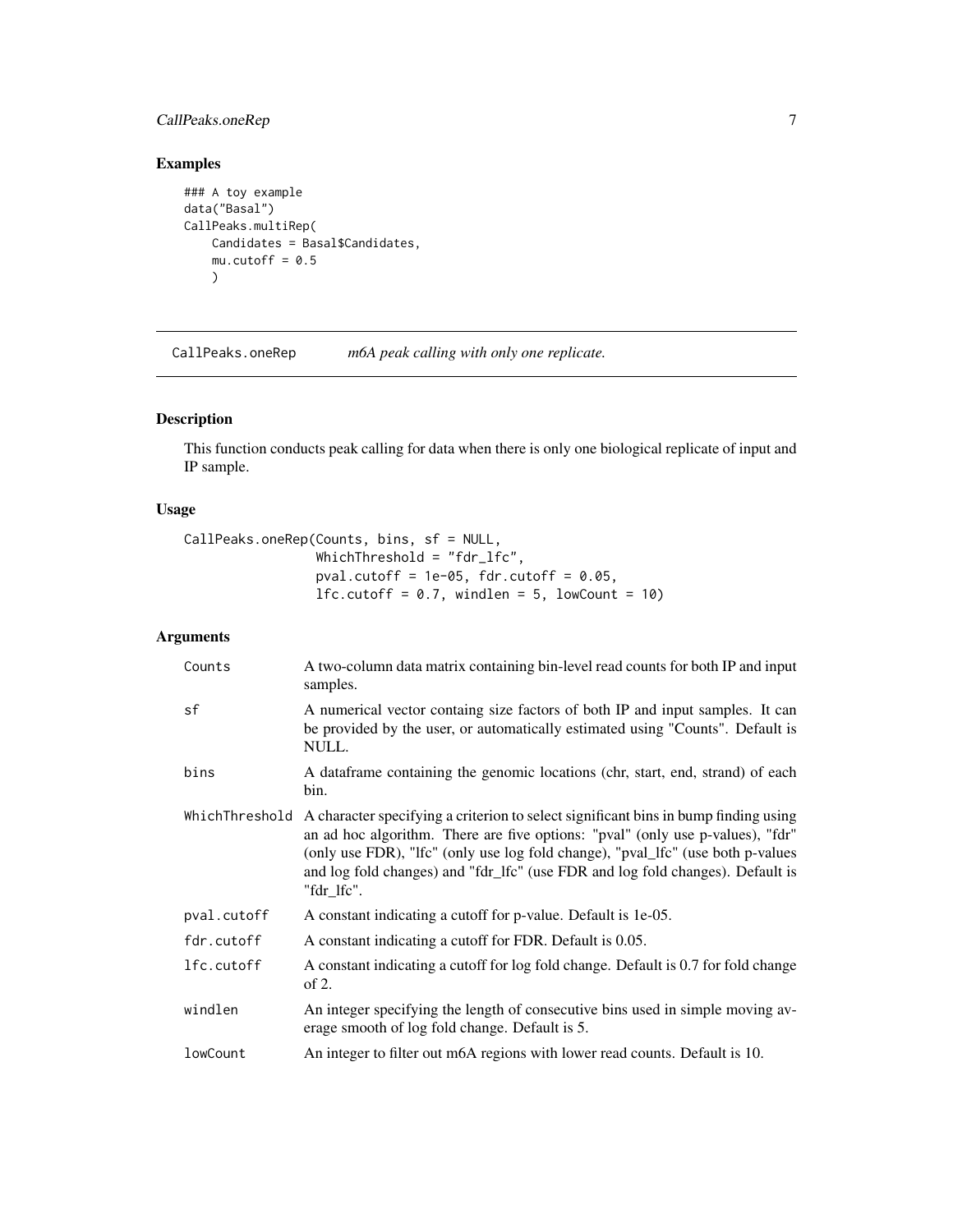#### <span id="page-6-0"></span>CallPeaks.oneRep 7

#### Examples

```
### A toy example
data("Basal")
CallPeaks.multiRep(
   Candidates = Basal$Candidates,
   mu.cutoff = 0.5)
```
<span id="page-6-1"></span>CallPeaks.oneRep *m6A peak calling with only one replicate.*

## Description

This function conducts peak calling for data when there is only one biological replicate of input and IP sample.

#### Usage

```
CallPeaks.oneRep(Counts, bins, sf = NULL,
                 WhichThreshold = "fdr_lfc",
                 pval.cutoff = 1e-05, fdr.cutoff = 0.05,
                 1fc.cutoff = 0.7, windlen = 5, lowCount = 10)
```
#### Arguments

| Counts         | A two-column data matrix containing bin-level read counts for both IP and input<br>samples.                                                                                                                                                                                                                                                              |
|----------------|----------------------------------------------------------------------------------------------------------------------------------------------------------------------------------------------------------------------------------------------------------------------------------------------------------------------------------------------------------|
| sf             | A numerical vector containg size factors of both IP and input samples. It can<br>be provided by the user, or automatically estimated using "Counts". Default is<br>NULL.                                                                                                                                                                                 |
| bins           | A data frame containing the genomic locations (chr, start, end, strand) of each<br>bin.                                                                                                                                                                                                                                                                  |
| WhichThreshold | A character specifying a criterion to select significant bins in bump finding using<br>an ad hoc algorithm. There are five options: "pval" (only use p-values), "fdr"<br>(only use FDR), "Ifc" (only use log fold change), "pval_Ifc" (use both p-values<br>and log fold changes) and "fdr_lfc" (use FDR and log fold changes). Default is<br>"fdr_lfc". |
| pval.cutoff    | A constant indicating a cutoff for p-value. Default is 1e-05.                                                                                                                                                                                                                                                                                            |
| fdr.cutoff     | A constant indicating a cutoff for FDR. Default is 0.05.                                                                                                                                                                                                                                                                                                 |
| lfc.cutoff     | A constant indicating a cutoff for log fold change. Default is 0.7 for fold change<br>of $2$ .                                                                                                                                                                                                                                                           |
| windlen        | An integer specifying the length of consecutive bins used in simple moving av-<br>erage smooth of log fold change. Default is 5.                                                                                                                                                                                                                         |
| lowCount       | An integer to filter out m6A regions with lower read counts. Default is 10.                                                                                                                                                                                                                                                                              |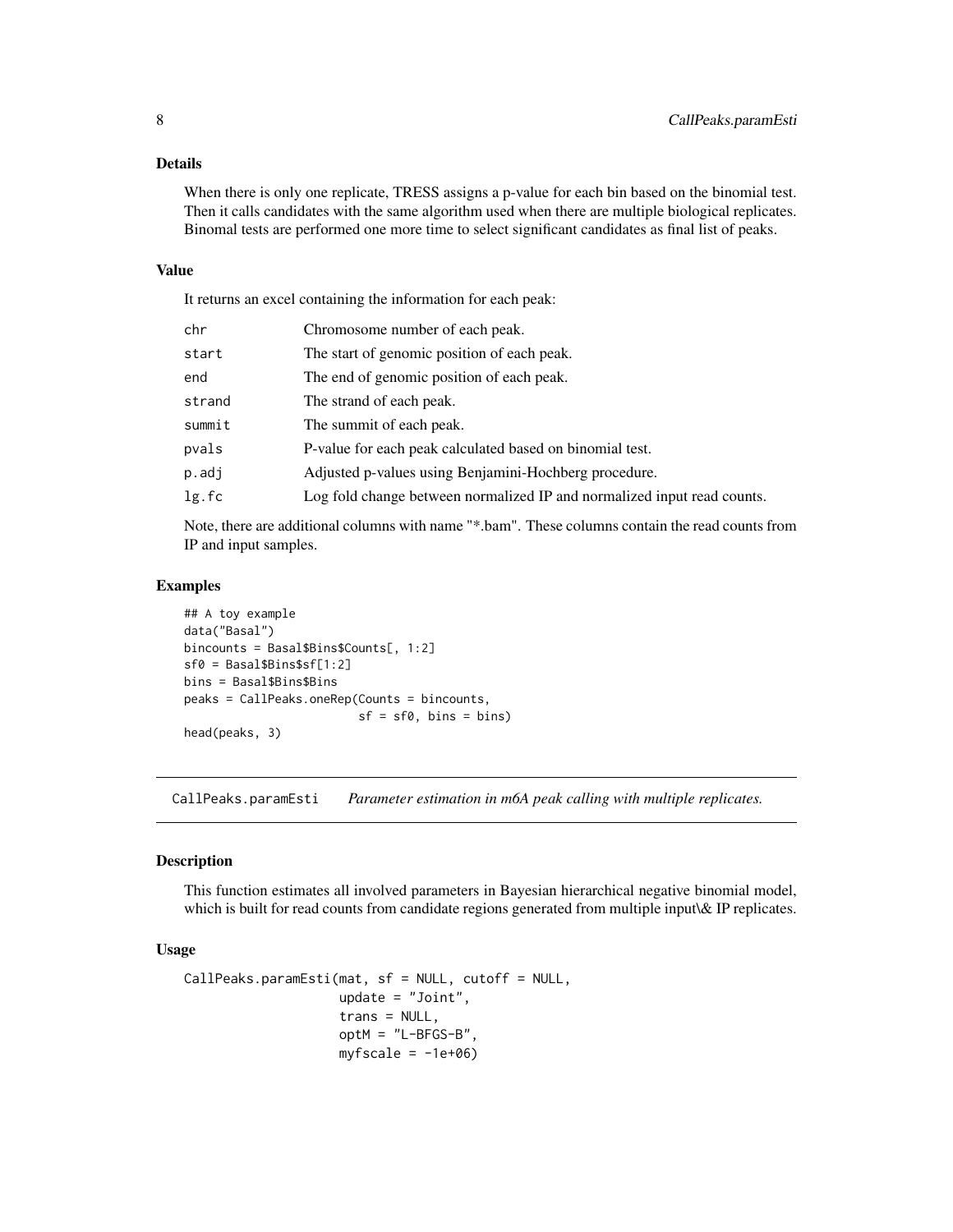#### <span id="page-7-0"></span>Details

When there is only one replicate, TRESS assigns a p-value for each bin based on the binomial test. Then it calls candidates with the same algorithm used when there are multiple biological replicates. Binomal tests are performed one more time to select significant candidates as final list of peaks.

#### Value

It returns an excel containing the information for each peak:

| chr      | Chromosome number of each peak.                                         |
|----------|-------------------------------------------------------------------------|
| start    | The start of genomic position of each peak.                             |
| end      | The end of genomic position of each peak.                               |
| strand   | The strand of each peak.                                                |
| summit   | The summit of each peak.                                                |
| pvals    | P-value for each peak calculated based on binomial test.                |
| p.adj    | Adjusted p-values using Benjamini-Hochberg procedure.                   |
| $lg$ .fc | Log fold change between normalized IP and normalized input read counts. |
|          |                                                                         |

Note, there are additional columns with name "\*.bam". These columns contain the read counts from IP and input samples.

#### Examples

```
## A toy example
data("Basal")
bincounts = Basal$Bins$Counts[, 1:2]
sf0 = Basal$Bins$sf[1:2]
bins = Basal$Bins$Bins
peaks = CallPeaks.oneRep(Counts = bincounts,
                         sf = sf0, bins = bins)
head(peaks, 3)
```
<span id="page-7-1"></span>CallPeaks.paramEsti *Parameter estimation in m6A peak calling with multiple replicates.*

#### Description

This function estimates all involved parameters in Bayesian hierarchical negative binomial model, which is built for read counts from candidate regions generated from multiple input & IP replicates.

#### Usage

```
CallPeaks.paramEsti(mat, sf = NULL, cutoff = NULL,
                    update = "Joint",
                    trans = NULL,
                    optM = "L-BFGS-B",
                    myfscale = -1e+06)
```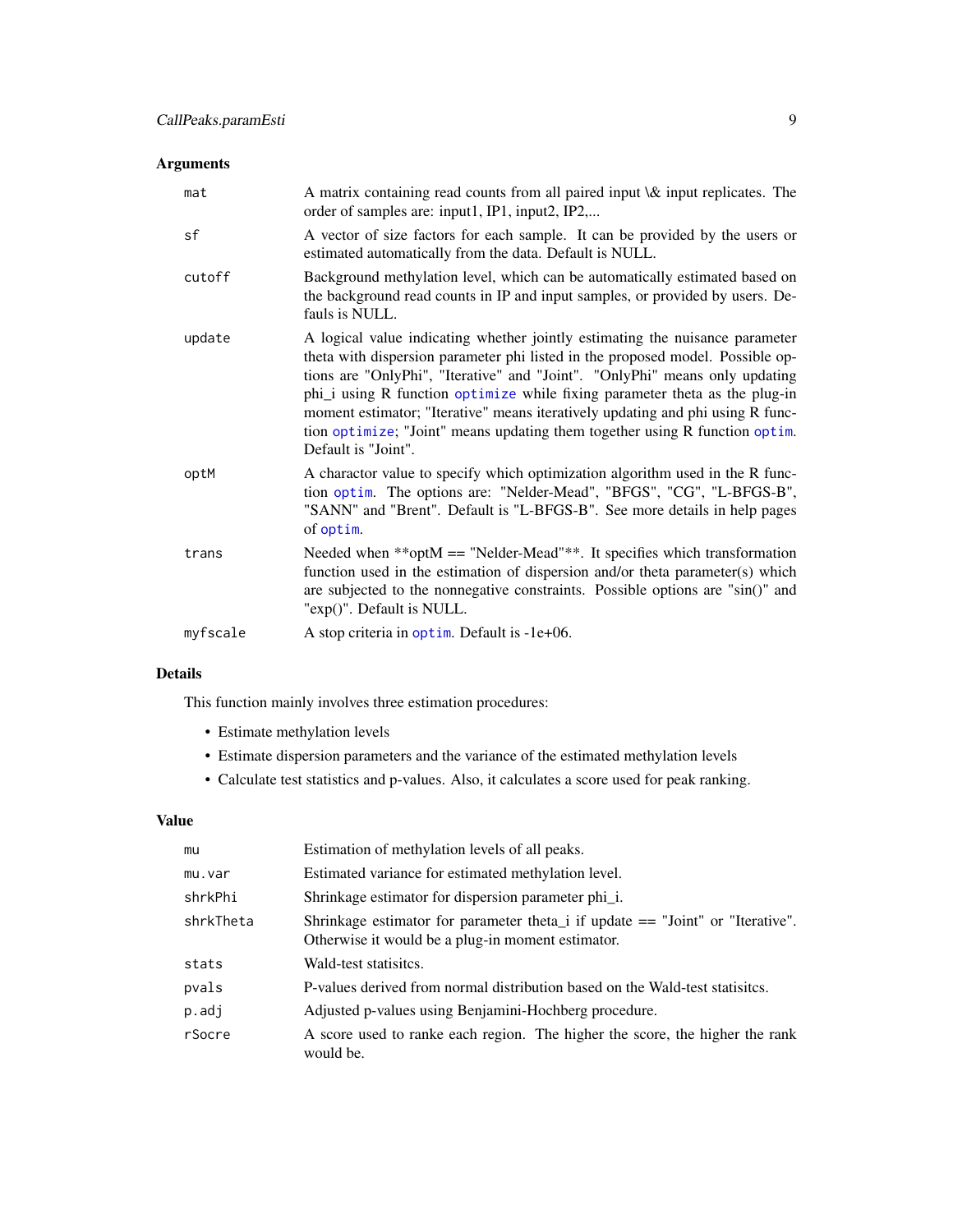#### <span id="page-8-0"></span>Arguments

| mat      | A matrix containing read counts from all paired input \& input replicates. The<br>order of samples are: input1, IP1, input2, IP2,                                                                                                                                                                                                                                                                                                                                                                                    |
|----------|----------------------------------------------------------------------------------------------------------------------------------------------------------------------------------------------------------------------------------------------------------------------------------------------------------------------------------------------------------------------------------------------------------------------------------------------------------------------------------------------------------------------|
| sf       | A vector of size factors for each sample. It can be provided by the users or<br>estimated automatically from the data. Default is NULL.                                                                                                                                                                                                                                                                                                                                                                              |
| cutoff   | Background methylation level, which can be automatically estimated based on<br>the background read counts in IP and input samples, or provided by users. De-<br>fauls is NULL.                                                                                                                                                                                                                                                                                                                                       |
| update   | A logical value indicating whether jointly estimating the nuisance parameter<br>theta with dispersion parameter phi listed in the proposed model. Possible op-<br>tions are "OnlyPhi", "Iterative" and "Joint". "OnlyPhi" means only updating<br>phi_i using R function optimize while fixing parameter theta as the plug-in<br>moment estimator; "Iterative" means iteratively updating and phi using R func-<br>tion optimize; "Joint" means updating them together using R function optim.<br>Default is "Joint". |
| optM     | A charactor value to specify which optimization algorithm used in the R func-<br>tion optim. The options are: "Nelder-Mead", "BFGS", "CG", "L-BFGS-B",<br>"SANN" and "Brent". Default is "L-BFGS-B". See more details in help pages<br>of optim.                                                                                                                                                                                                                                                                     |
| trans    | Needed when **optM $==$ "Nelder-Mead"**. It specifies which transformation<br>function used in the estimation of dispersion and/or theta parameter(s) which<br>are subjected to the nonnegative constraints. Possible options are "sin()" and<br>"exp()". Default is NULL.                                                                                                                                                                                                                                           |
| myfscale | A stop criteria in optim. Default is -1e+06.                                                                                                                                                                                                                                                                                                                                                                                                                                                                         |

#### Details

This function mainly involves three estimation procedures:

- Estimate methylation levels
- Estimate dispersion parameters and the variance of the estimated methylation levels
- Calculate test statistics and p-values. Also, it calculates a score used for peak ranking.

#### Value

| mu        | Estimation of methylation levels of all peaks.                                                                                        |
|-----------|---------------------------------------------------------------------------------------------------------------------------------------|
| mu.var    | Estimated variance for estimated methylation level.                                                                                   |
| shrkPhi   | Shrinkage estimator for dispersion parameter phi_i.                                                                                   |
| shrkTheta | Shrinkage estimator for parameter theta i if update $==$ "Joint" or "Iterative".<br>Otherwise it would be a plug-in moment estimator. |
| stats     | Wald-test statisites.                                                                                                                 |
| pvals     | P-values derived from normal distribution based on the Wald-test statisites.                                                          |
| p.adj     | Adjusted p-values using Benjamini-Hochberg procedure.                                                                                 |
| rSocre    | A score used to ranke each region. The higher the score, the higher the rank<br>would be.                                             |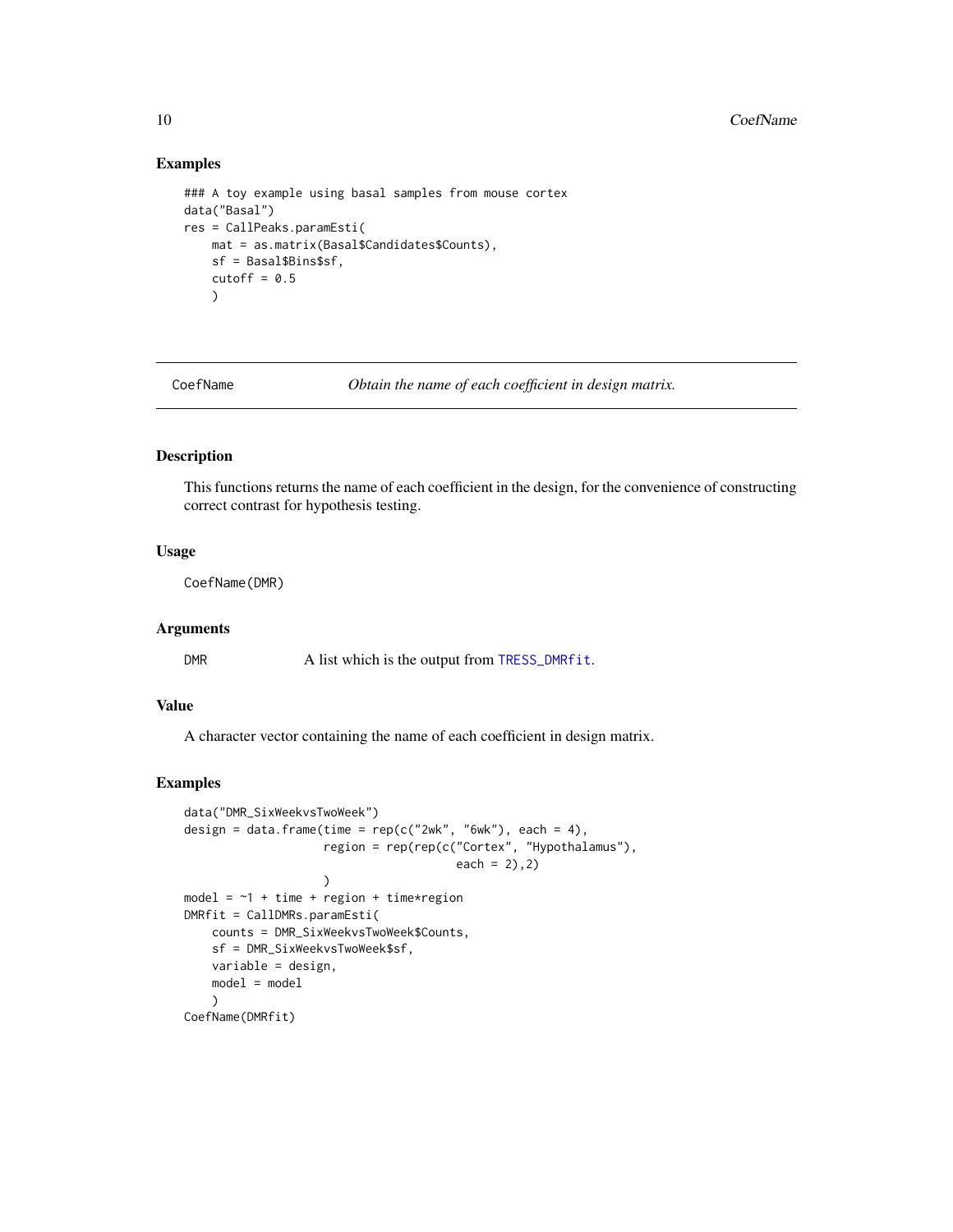#### Examples

```
### A toy example using basal samples from mouse cortex
data("Basal")
res = CallPeaks.paramEsti(
   mat = as.matrix(Basal$Candidates$Counts),
   sf = Basal$Bins$sf,
   cutoff = 0.5)
```
CoefName *Obtain the name of each coefficient in design matrix.*

#### Description

This functions returns the name of each coefficient in the design, for the convenience of constructing correct contrast for hypothesis testing.

#### Usage

CoefName(DMR)

#### Arguments

DMR A list which is the output from [TRESS\\_DMRfit](#page-19-1).

#### Value

A character vector containing the name of each coefficient in design matrix.

#### Examples

```
data("DMR_SixWeekvsTwoWeek")
design = data.frame(time = rep(c("2wk", "6wk"), each = 4),region = rep(rep(c("Cortex", "Hypothalamus"),
                                       each = 2), 2))
model = \neg1 + time + region + time*region
DMRfit = CallDMRs.paramEsti(
   counts = DMR_SixWeekvsTwoWeek$Counts,
   sf = DMR_SixWeekvsTwoWeek$sf,
   variable = design,
   model = model)
CoefName(DMRfit)
```
<span id="page-9-0"></span>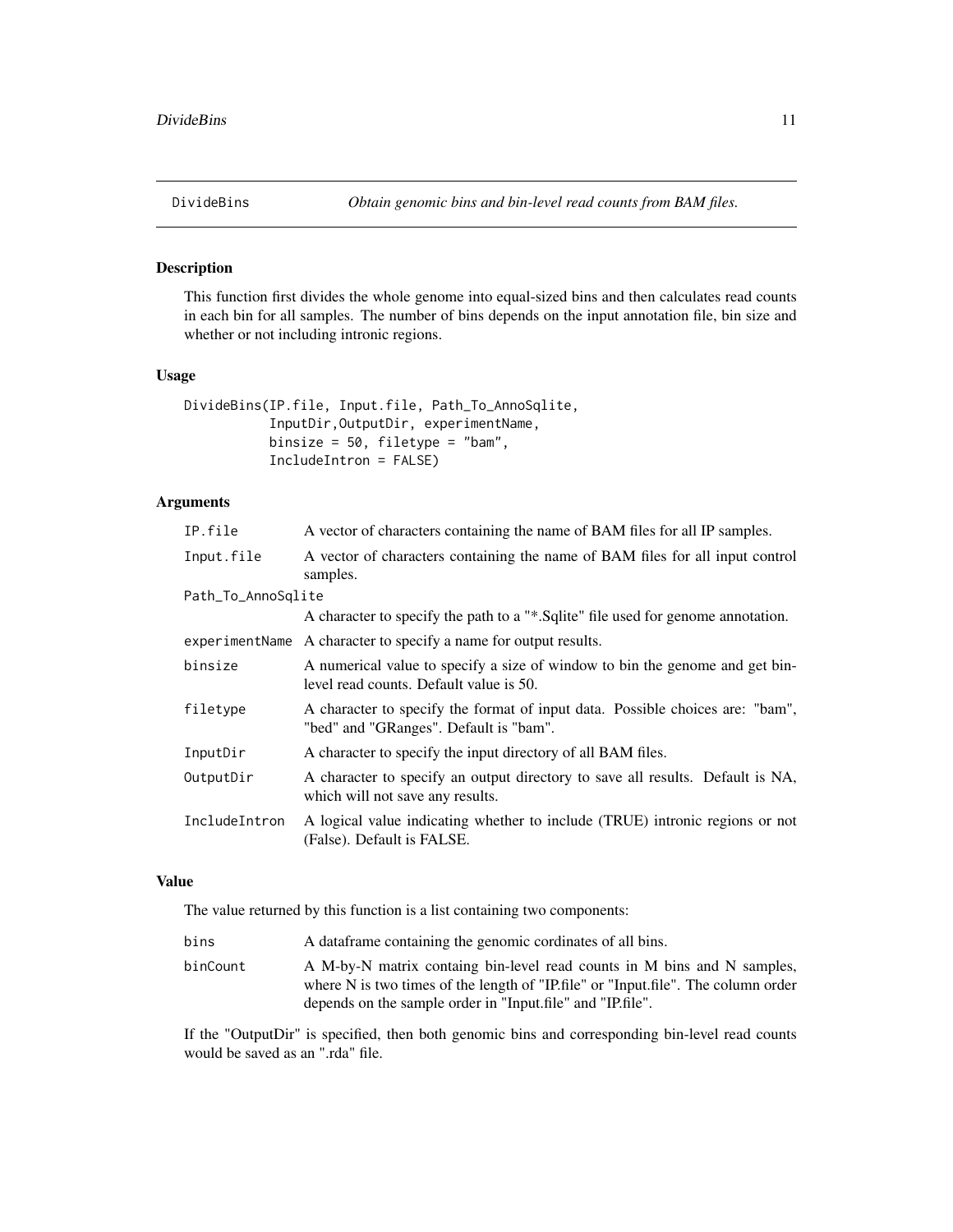<span id="page-10-1"></span><span id="page-10-0"></span>

#### Description

This function first divides the whole genome into equal-sized bins and then calculates read counts in each bin for all samples. The number of bins depends on the input annotation file, bin size and whether or not including intronic regions.

#### Usage

```
DivideBins(IP.file, Input.file, Path_To_AnnoSqlite,
           InputDir,OutputDir, experimentName,
           binsize = 50, filetype = "bam",
           IncludeIntron = FALSE)
```
#### Arguments

| A vector of characters containing the name of BAM files for all IP samples.                                             |
|-------------------------------------------------------------------------------------------------------------------------|
| A vector of characters containing the name of BAM files for all input control<br>samples.                               |
| Path_To_AnnoSqlite                                                                                                      |
| A character to specify the path to a "*. Sqlite" file used for genome annotation.                                       |
| experiment Name A character to specify a name for output results.                                                       |
| A numerical value to specify a size of window to bin the genome and get bin-<br>level read counts. Default value is 50. |
| A character to specify the format of input data. Possible choices are: "bam",<br>"bed" and "GRanges". Default is "bam". |
| A character to specify the input directory of all BAM files.                                                            |
| A character to specify an output directory to save all results. Default is NA,<br>which will not save any results.      |
| A logical value indicating whether to include (TRUE) intronic regions or not<br>(False). Default is FALSE.              |
|                                                                                                                         |

#### Value

The value returned by this function is a list containing two components:

| bins     | A data frame containing the genomic cordinates of all bins.                                                                                                                                                                |
|----------|----------------------------------------------------------------------------------------------------------------------------------------------------------------------------------------------------------------------------|
| binCount | A M-by-N matrix containg bin-level read counts in M bins and N samples,<br>where N is two times of the length of "IP.file" or "Input.file". The column order<br>depends on the sample order in "Input.file" and "IP.file". |

If the "OutputDir" is specified, then both genomic bins and corresponding bin-level read counts would be saved as an ".rda" file.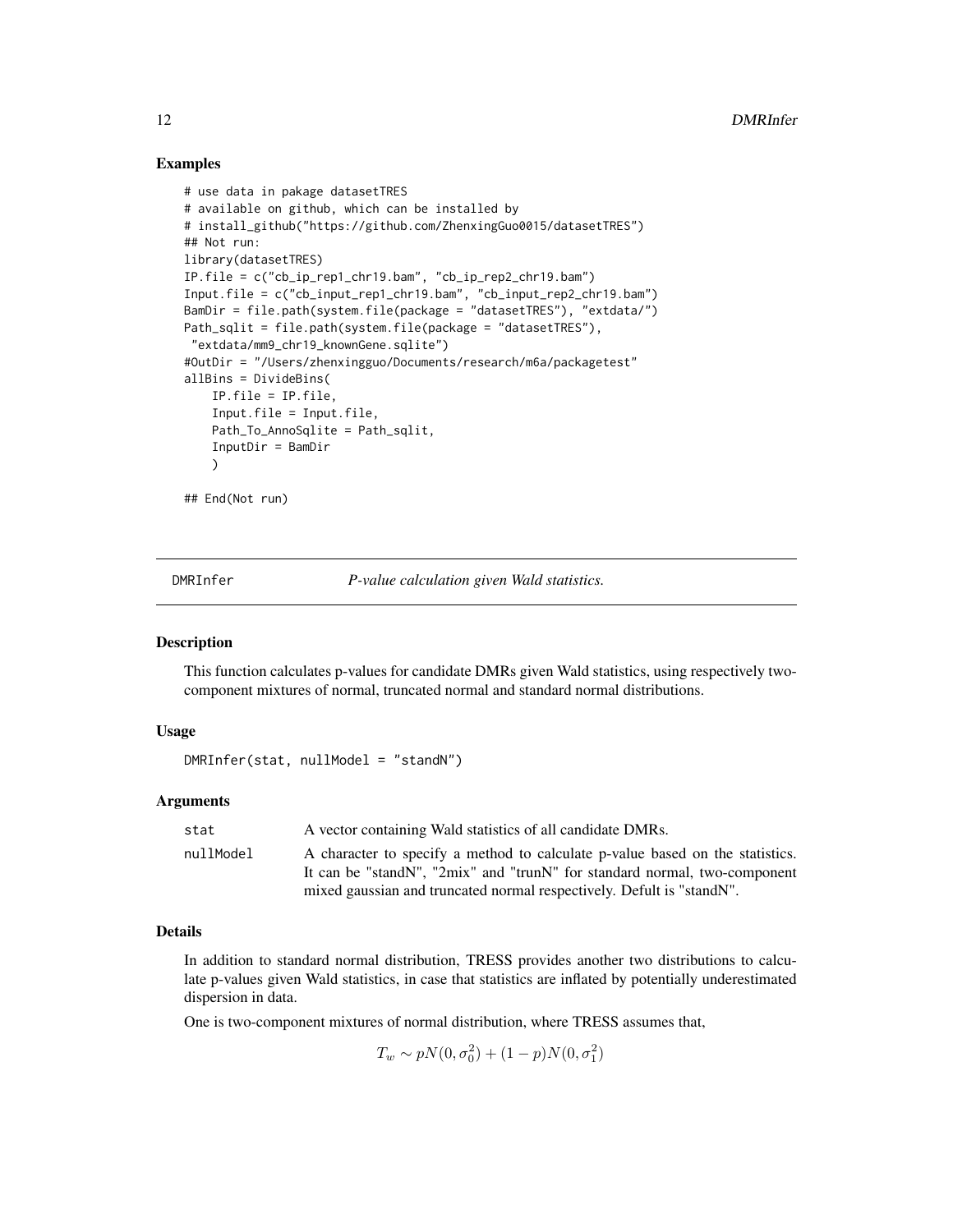#### Examples

```
# use data in pakage datasetTRES
# available on github, which can be installed by
# install_github("https://github.com/ZhenxingGuo0015/datasetTRES")
## Not run:
library(datasetTRES)
IP.file = c("cb_ip_rep1_chr19.bam", "cb_ip_rep2_chr19.bam")
Input.file = c("cb_input_rep1_chr19.bam", "cb_input_rep2_chr19.bam")
BamDir = file.path(system.file(package = "datasetTRES"), "extdata/")
Path_sqlit = file.path(system.file(package = "datasetTRES"),
 "extdata/mm9_chr19_knownGene.sqlite")
#OutDir = "/Users/zhenxingguo/Documents/research/m6a/packagetest"
allBins = DivideBins(
   IP.file = IP.file,
    Input.file = Input.file,
   Path_To_AnnoSqlite = Path_sqlit,
    InputDir = BamDir
   )
```
## End(Not run)

DMRInfer *P-value calculation given Wald statistics.*

#### **Description**

This function calculates p-values for candidate DMRs given Wald statistics, using respectively twocomponent mixtures of normal, truncated normal and standard normal distributions.

#### Usage

```
DMRInfer(stat, nullModel = "standN")
```
#### Arguments

|                                                                                    | stat | A vector containing Wald statistics of all candidate DMRs.                                                                                                   |
|------------------------------------------------------------------------------------|------|--------------------------------------------------------------------------------------------------------------------------------------------------------------|
| nullModel<br>mixed gaussian and truncated normal respectively. Defult is "standN". |      | A character to specify a method to calculate p-value based on the statistics.<br>It can be "stand N", "2mix" and "trun N" for standard normal, two-component |

#### Details

In addition to standard normal distribution, TRESS provides another two distributions to calculate p-values given Wald statistics, in case that statistics are inflated by potentially underestimated dispersion in data.

One is two-component mixtures of normal distribution, where TRESS assumes that,

$$
T_w \sim pN(0, \sigma_0^2) + (1 - p)N(0, \sigma_1^2)
$$

<span id="page-11-0"></span>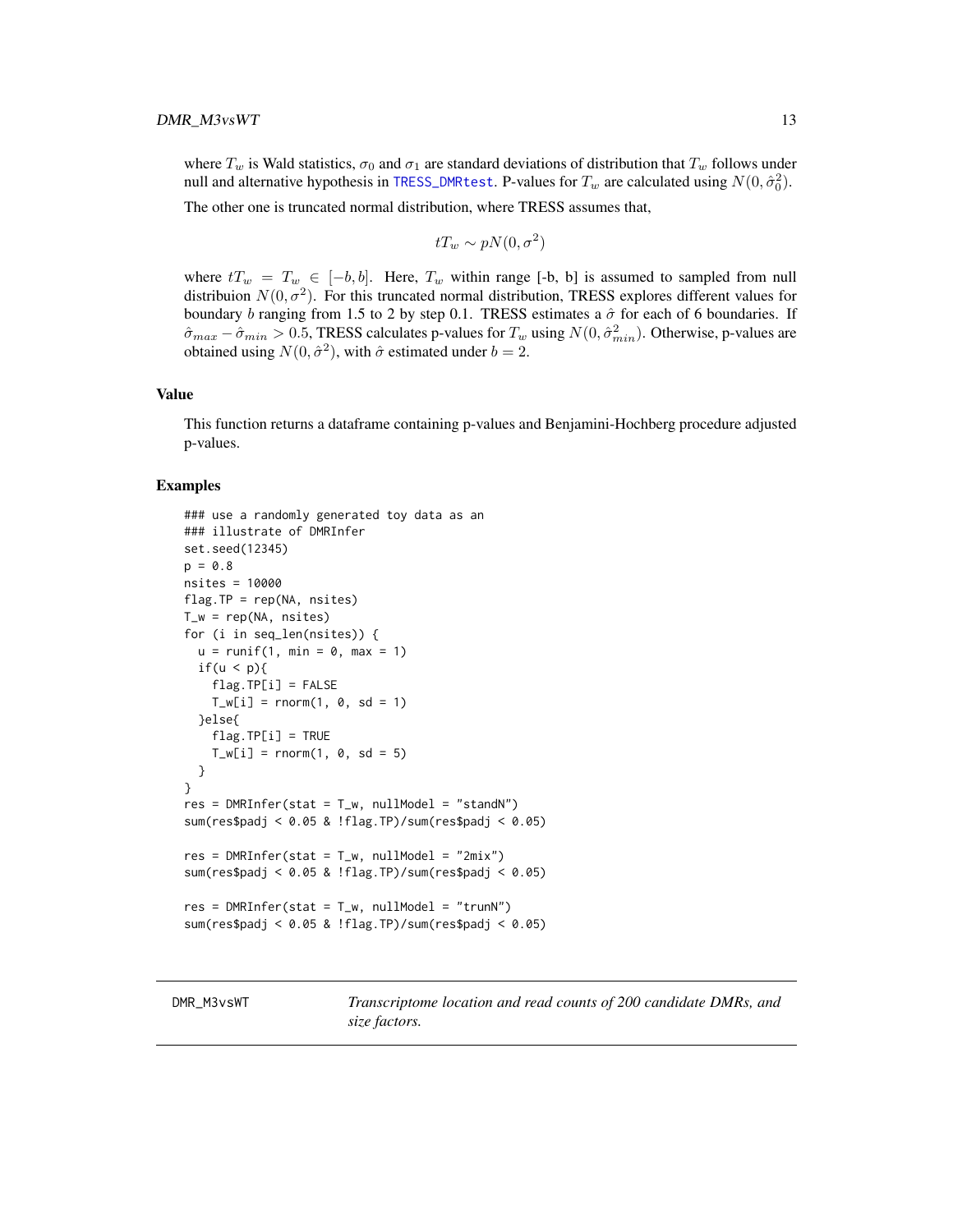<span id="page-12-0"></span>where  $T_w$  is Wald statistics,  $\sigma_0$  and  $\sigma_1$  are standard deviations of distribution that  $T_w$  follows under null and alternative hypothesis in [TRESS\\_DMRtest](#page-21-1). P-values for  $T_w$  are calculated using  $N(0,\hat{\sigma}_0^2).$ 

The other one is truncated normal distribution, where TRESS assumes that,

$$
tT_w \sim pN(0, \sigma^2)
$$

where  $tT_w = T_w \in [-b, b]$ . Here,  $T_w$  within range [-b, b] is assumed to sampled from null distribuion  $N(0, \sigma^2)$ . For this truncated normal distribution, TRESS explores different values for boundary b ranging from 1.5 to 2 by step 0.1. TRESS estimates a  $\hat{\sigma}$  for each of 6 boundaries. If  $\hat{\sigma}_{max} - \hat{\sigma}_{min} > 0.5$ , TRESS calculates p-values for  $T_w$  using  $N(0, \hat{\sigma}_{min}^2)$ . Otherwise, p-values are obtained using  $N(0, \hat{\sigma}^2)$ , with  $\hat{\sigma}$  estimated under  $b = 2$ .

#### Value

This function returns a dataframe containing p-values and Benjamini-Hochberg procedure adjusted p-values.

#### Examples

```
### use a randomly generated toy data as an
### illustrate of DMRInfer
set.seed(12345)
p = 0.8nsites = 10000
flag.TP = rep(NA, nsites)
T_w = rep(NA, nsites)
for (i in seq_len(nsites)) {
 u = runif(1, min = 0, max = 1)if(u < p){
    flag.TP[i] = FALSET_w[i] = rnorm(1, 0, sd = 1)}else{
    flag.TP[i] = TRUE
    T_w[i] = rnorm(1, 0, sd = 5)}
}
res = DMRInfer(stat = T_w, nullModel = "standN")sum(res$padj < 0.05 & !flag.TP)/sum(res$padj < 0.05)
res = DMRInfer(stat = T_w, nullModel = "2mix")sum(res$padj < 0.05 & !flag.TP)/sum(res$padj < 0.05)
res = DMRInfer(stat = T_w, nullModel = "trunn")sum(res$padj < 0.05 & !flag.TP)/sum(res$padj < 0.05)
```
DMR\_M3vsWT *Transcriptome location and read counts of 200 candidate DMRs, and size factors.*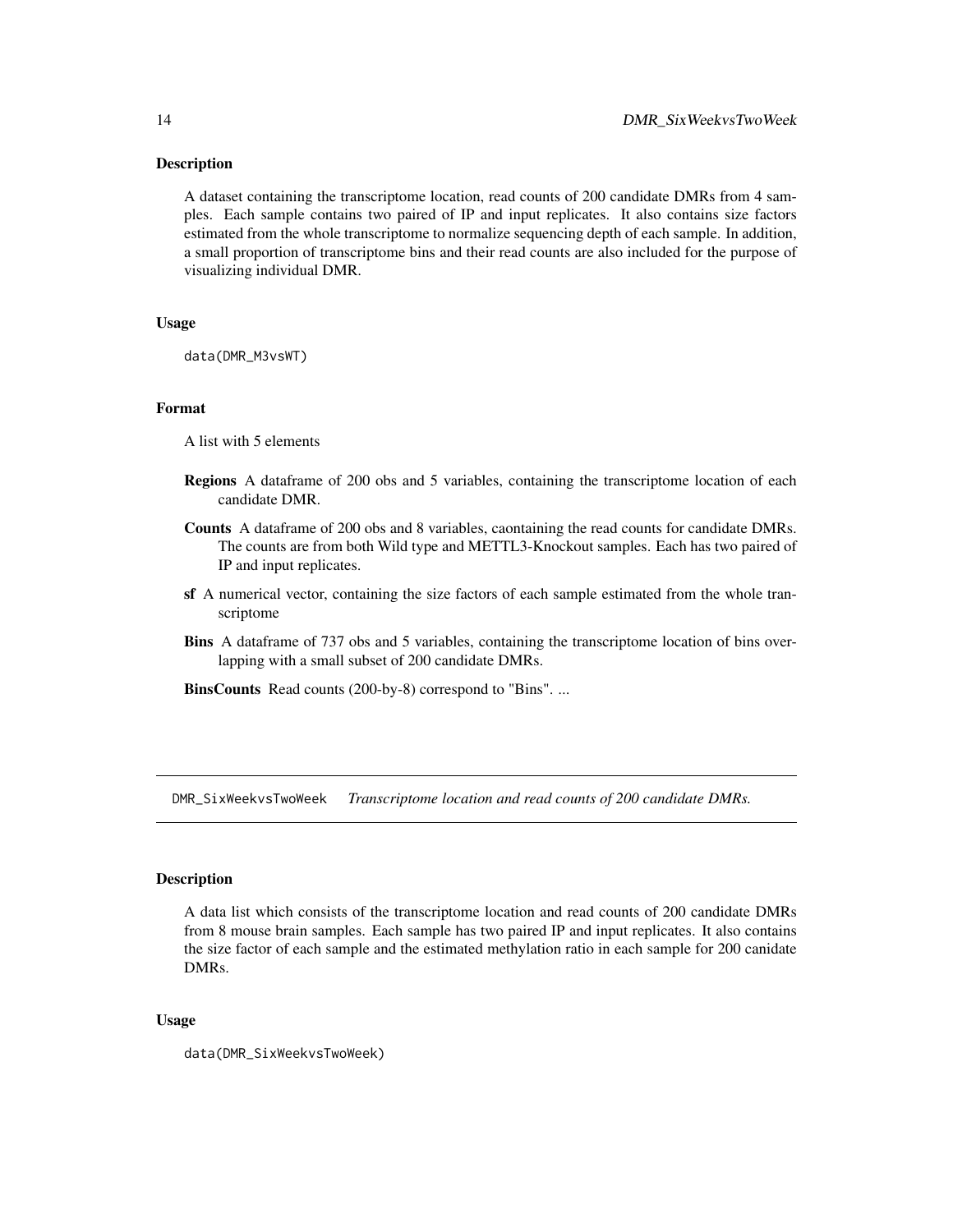#### <span id="page-13-0"></span>Description

A dataset containing the transcriptome location, read counts of 200 candidate DMRs from 4 samples. Each sample contains two paired of IP and input replicates. It also contains size factors estimated from the whole transcriptome to normalize sequencing depth of each sample. In addition, a small proportion of transcriptome bins and their read counts are also included for the purpose of visualizing individual DMR.

#### Usage

data(DMR\_M3vsWT)

#### Format

A list with 5 elements

- Regions A dataframe of 200 obs and 5 variables, containing the transcriptome location of each candidate DMR.
- Counts A dataframe of 200 obs and 8 variables, caontaining the read counts for candidate DMRs. The counts are from both Wild type and METTL3-Knockout samples. Each has two paired of IP and input replicates.
- sf A numerical vector, containing the size factors of each sample estimated from the whole transcriptome
- Bins A dataframe of 737 obs and 5 variables, containing the transcriptome location of bins overlapping with a small subset of 200 candidate DMRs.

BinsCounts Read counts (200-by-8) correspond to "Bins". ...

DMR\_SixWeekvsTwoWeek *Transcriptome location and read counts of 200 candidate DMRs.*

#### Description

A data list which consists of the transcriptome location and read counts of 200 candidate DMRs from 8 mouse brain samples. Each sample has two paired IP and input replicates. It also contains the size factor of each sample and the estimated methylation ratio in each sample for 200 canidate DMRs.

#### Usage

data(DMR\_SixWeekvsTwoWeek)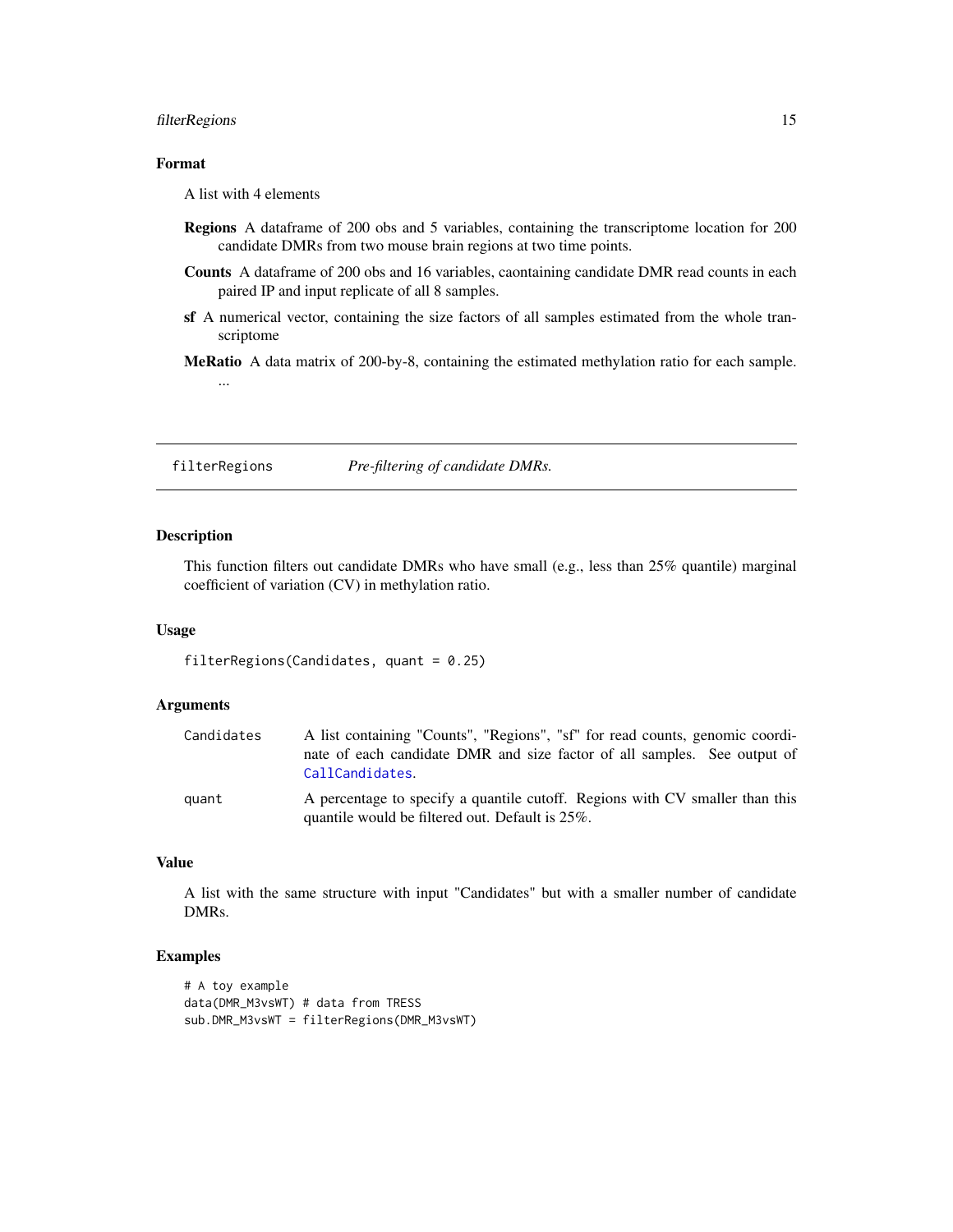#### <span id="page-14-0"></span>filterRegions 15

#### Format

A list with 4 elements

- Regions A dataframe of 200 obs and 5 variables, containing the transcriptome location for 200 candidate DMRs from two mouse brain regions at two time points.
- Counts A dataframe of 200 obs and 16 variables, caontaining candidate DMR read counts in each paired IP and input replicate of all 8 samples.
- sf A numerical vector, containing the size factors of all samples estimated from the whole transcriptome
- MeRatio A data matrix of 200-by-8, containing the estimated methylation ratio for each sample.

filterRegions *Pre-filtering of candidate DMRs.*

#### Description

...

This function filters out candidate DMRs who have small (e.g., less than 25% quantile) marginal coefficient of variation (CV) in methylation ratio.

#### Usage

```
filterRegions(Candidates, quant = 0.25)
```
#### Arguments

| Candidates | A list containing "Counts", "Regions", "sf" for read counts, genomic coordi-                                                    |
|------------|---------------------------------------------------------------------------------------------------------------------------------|
|            | nate of each candidate DMR and size factor of all samples. See output of<br>CallCandidates.                                     |
| quant      | A percentage to specify a quantile cutoff. Regions with CV smaller than this<br>quantile would be filtered out. Default is 25%. |

#### Value

A list with the same structure with input "Candidates" but with a smaller number of candidate DMRs.

#### Examples

```
# A toy example
data(DMR_M3vsWT) # data from TRESS
sub.DMR_M3vsWT = filterRegions(DMR_M3vsWT)
```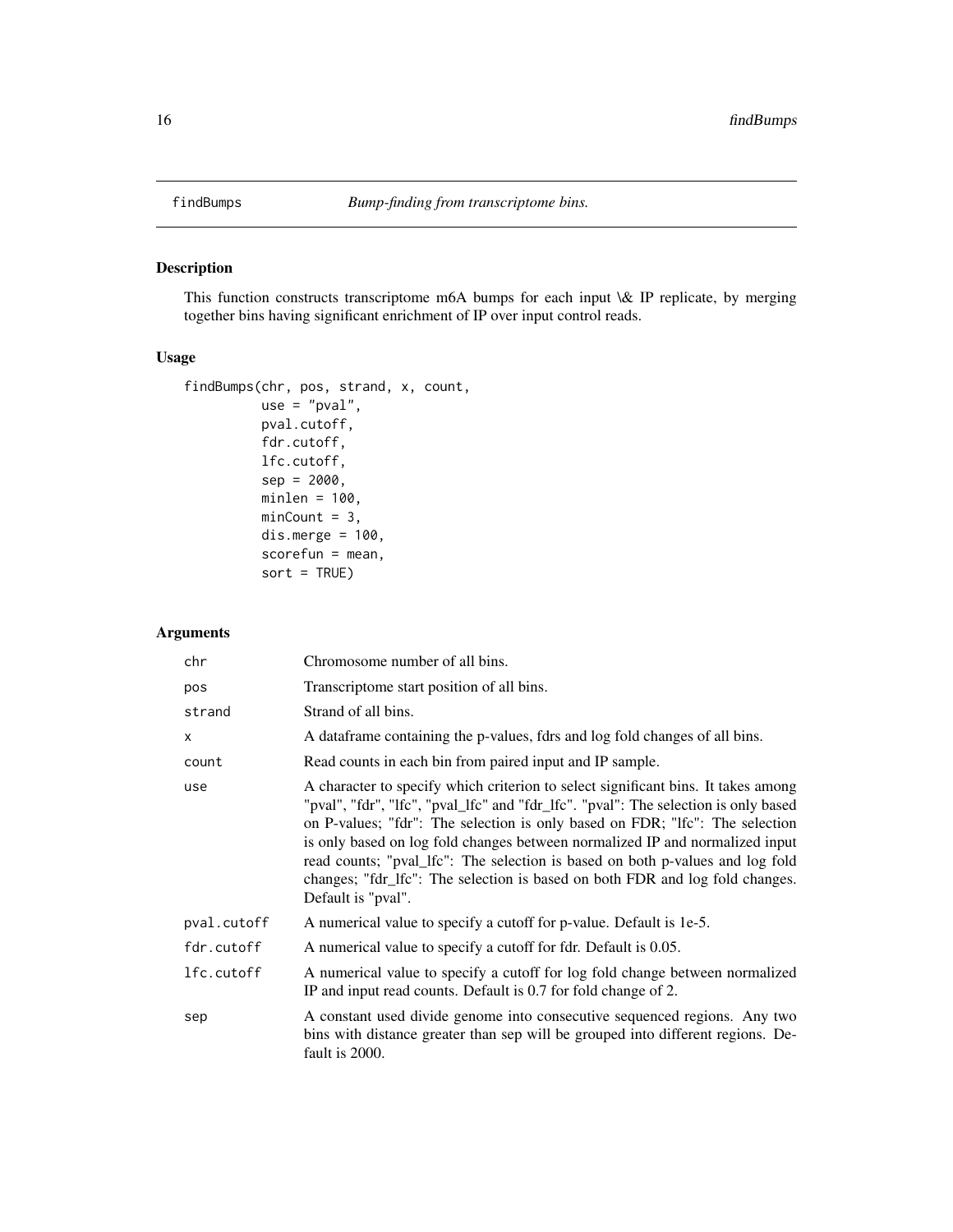<span id="page-15-1"></span><span id="page-15-0"></span>

#### Description

This function constructs transcriptome m6A bumps for each input \& IP replicate, by merging together bins having significant enrichment of IP over input control reads.

#### Usage

```
findBumps(chr, pos, strand, x, count,
          use = "pval",pval.cutoff,
          fdr.cutoff,
          lfc.cutoff,
          sep = 2000,
          minlen = 100,
          minCount = 3,
          dis.merge = 100,
          scorefun = mean,
          sort = TRUE)
```
#### Arguments

| chr         | Chromosome number of all bins.                                                                                                                                                                                                                                                                                                                                                                                                                                                                                                  |
|-------------|---------------------------------------------------------------------------------------------------------------------------------------------------------------------------------------------------------------------------------------------------------------------------------------------------------------------------------------------------------------------------------------------------------------------------------------------------------------------------------------------------------------------------------|
| pos         | Transcriptome start position of all bins.                                                                                                                                                                                                                                                                                                                                                                                                                                                                                       |
| strand      | Strand of all bins.                                                                                                                                                                                                                                                                                                                                                                                                                                                                                                             |
| $\times$    | A data frame containing the p-values, fdrs and log fold changes of all bins.                                                                                                                                                                                                                                                                                                                                                                                                                                                    |
| count       | Read counts in each bin from paired input and IP sample.                                                                                                                                                                                                                                                                                                                                                                                                                                                                        |
| use         | A character to specify which criterion to select significant bins. It takes among<br>"pval", "fdr", "lfc", "pval_lfc" and "fdr_lfc". "pval": The selection is only based<br>on P-values; "fdr": The selection is only based on FDR; "Ifc": The selection<br>is only based on log fold changes between normalized IP and normalized input<br>read counts; "pval_lfc": The selection is based on both p-values and log fold<br>changes; "fdr_lfc": The selection is based on both FDR and log fold changes.<br>Default is "pval". |
| pval.cutoff | A numerical value to specify a cutoff for p-value. Default is 1e-5.                                                                                                                                                                                                                                                                                                                                                                                                                                                             |
| fdr.cutoff  | A numerical value to specify a cutoff for fdr. Default is 0.05.                                                                                                                                                                                                                                                                                                                                                                                                                                                                 |
| lfc.cutoff  | A numerical value to specify a cutoff for log fold change between normalized<br>IP and input read counts. Default is 0.7 for fold change of 2.                                                                                                                                                                                                                                                                                                                                                                                  |
| sep         | A constant used divide genome into consecutive sequenced regions. Any two<br>bins with distance greater than sep will be grouped into different regions. De-<br>fault is 2000.                                                                                                                                                                                                                                                                                                                                                  |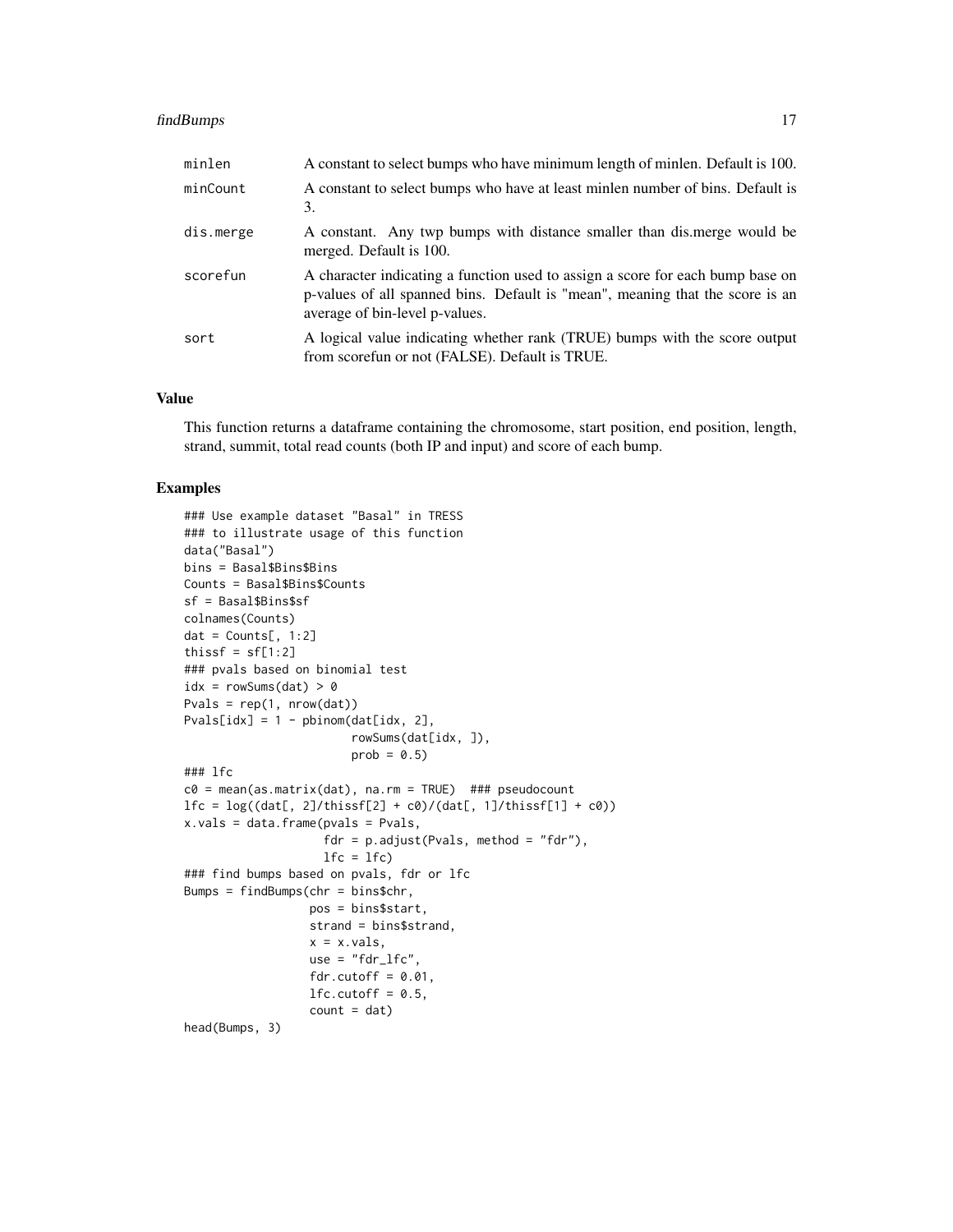#### findBumps 17

| minlen    | A constant to select bumps who have minimum length of minlen. Default is 100.                                                                                                                     |
|-----------|---------------------------------------------------------------------------------------------------------------------------------------------------------------------------------------------------|
| minCount  | A constant to select bumps who have at least minlen number of bins. Default is<br>3.                                                                                                              |
| dis.merge | A constant. Any twp bumps with distance smaller than distmerge would be<br>merged. Default is 100.                                                                                                |
| scorefun  | A character indicating a function used to assign a score for each bump base on<br>p-values of all spanned bins. Default is "mean", meaning that the score is an<br>average of bin-level p-values. |
| sort      | A logical value indicating whether rank (TRUE) bumps with the score output<br>from scorefun or not (FALSE). Default is TRUE.                                                                      |

#### Value

This function returns a dataframe containing the chromosome, start position, end position, length, strand, summit, total read counts (both IP and input) and score of each bump.

#### Examples

```
### Use example dataset "Basal" in TRESS
### to illustrate usage of this function
data("Basal")
bins = Basal$Bins$Bins
Counts = Basal$Bins$Counts
sf = Basal$Bins$sf
colnames(Counts)
dat = Counts[, 1:2]
thissf = sf[1:2]### pvals based on binomial test
idx = rowsums(data) > 0Pvals = rep(1, nrow(data))Pvals[idx] = 1 - \text{pbinom}(\text{dat}[\text{idx}, 2],rowSums(dat[idx, ]),
                        prob = 0.5)
### lfc
c0 = mean(as.matrix(data), na.rm = TRUE) ### pseudocount
lfc = log((dat[, 2]/thissf[2] + c0)/(dat[, 1]/thissf[1] + c0))x.vals = data.frame(pvals = Pvals,
                    fdr = p.addjust(Pvals, method = "fdr"),lfc = lfc### find bumps based on pvals, fdr or lfc
Bumps = findBumps(chr = bins$chr,
                  pos = bins$start,
                  strand = bins$strand,
                  x = x.values,
                  use = "fdr_lfc",fdr.cutoff = 0.01,
                  lfc.cutoff = 0.5,
                  count = dat)head(Bumps, 3)
```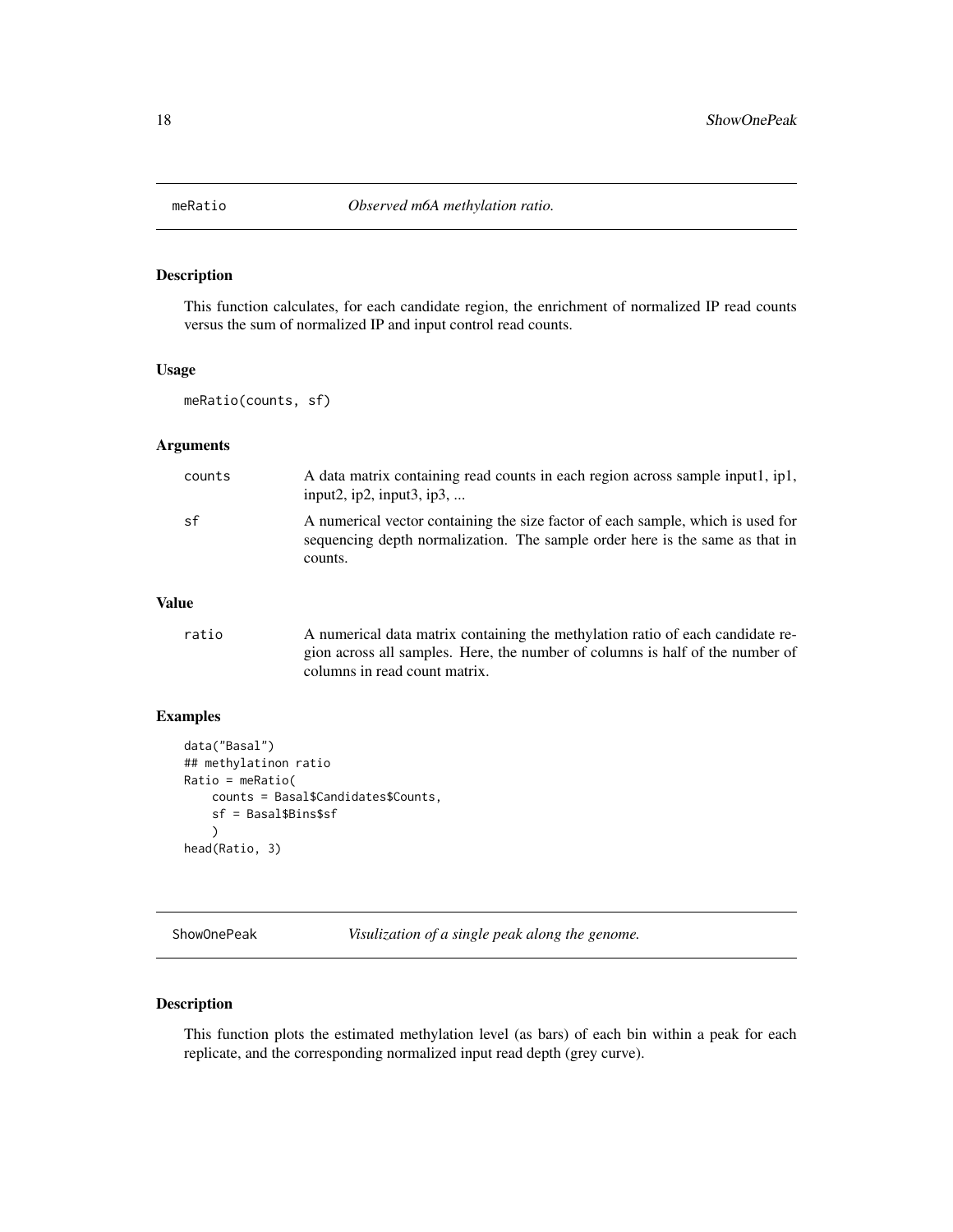<span id="page-17-0"></span>

#### Description

This function calculates, for each candidate region, the enrichment of normalized IP read counts versus the sum of normalized IP and input control read counts.

#### Usage

meRatio(counts, sf)

#### Arguments

| counts | A data matrix containing read counts in each region across sample input1, ip1,<br>input2, $ip2$ , input3, $ip3$ ,                                                          |
|--------|----------------------------------------------------------------------------------------------------------------------------------------------------------------------------|
| sf     | A numerical vector containing the size factor of each sample, which is used for<br>sequencing depth normalization. The sample order here is the same as that in<br>counts. |

#### Value

ratio A numerical data matrix containing the methylation ratio of each candidate region across all samples. Here, the number of columns is half of the number of columns in read count matrix.

#### Examples

```
data("Basal")
## methylatinon ratio
Ratio = meRatio(
    counts = Basal$Candidates$Counts,
    sf = Basal$Bins$sf
    \mathcal{L}head(Ratio, 3)
```
ShowOnePeak *Visulization of a single peak along the genome.*

#### Description

This function plots the estimated methylation level (as bars) of each bin within a peak for each replicate, and the corresponding normalized input read depth (grey curve).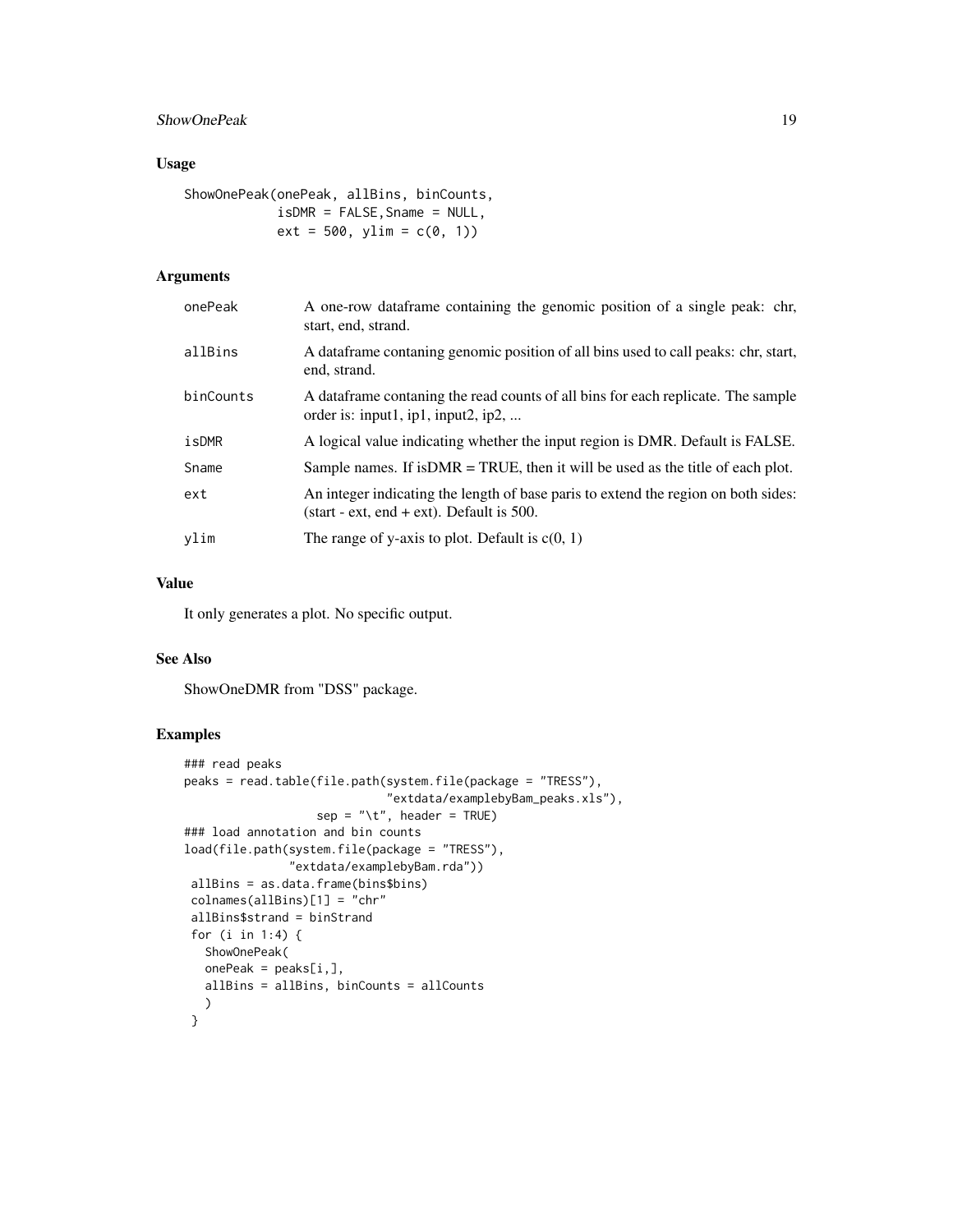#### ShowOnePeak 19

#### Usage

```
ShowOnePeak(onePeak, allBins, binCounts,
           isDMR = FALSE,Sname = NULL,
           ext = 500, ylim = c(0, 1)
```
#### Arguments

| onePeak   | A one-row data frame containing the genomic position of a single peak: chr,<br>start, end, strand.                              |
|-----------|---------------------------------------------------------------------------------------------------------------------------------|
| allBins   | A data frame contaning genomic position of all bins used to call peaks: chr, start,<br>end, strand.                             |
| binCounts | A data frame contaning the read counts of all bins for each replicate. The sample<br>order is: input1, ip1, input2, ip2,        |
| isDMR     | A logical value indicating whether the input region is DMR. Default is FALSE.                                                   |
| Sname     | Sample names. If is DMR = TRUE, then it will be used as the title of each plot.                                                 |
| ext       | An integer indicating the length of base paris to extend the region on both sides:<br>(start - ext, end + ext). Default is 500. |
| ylim      | The range of y-axis to plot. Default is $c(0, 1)$                                                                               |

#### Value

It only generates a plot. No specific output.

#### See Also

ShowOneDMR from "DSS" package.

#### Examples

```
### read peaks
peaks = read.table(file.path(system.file(package = "TRESS"),
                             "extdata/examplebyBam_peaks.xls"),
                   sep = " \tt \verb|', header = TRUE)
### load annotation and bin counts
load(file.path(system.file(package = "TRESS"),
               "extdata/examplebyBam.rda"))
allBins = as.data.frame(bins$bins)
colnames(allBins)[1] = "chr"
allBins$strand = binStrand
for (i in 1:4) {
  ShowOnePeak(
  onePeak = peaks[i,],
  allBins = allBins, binCounts = allCounts
  )
}
```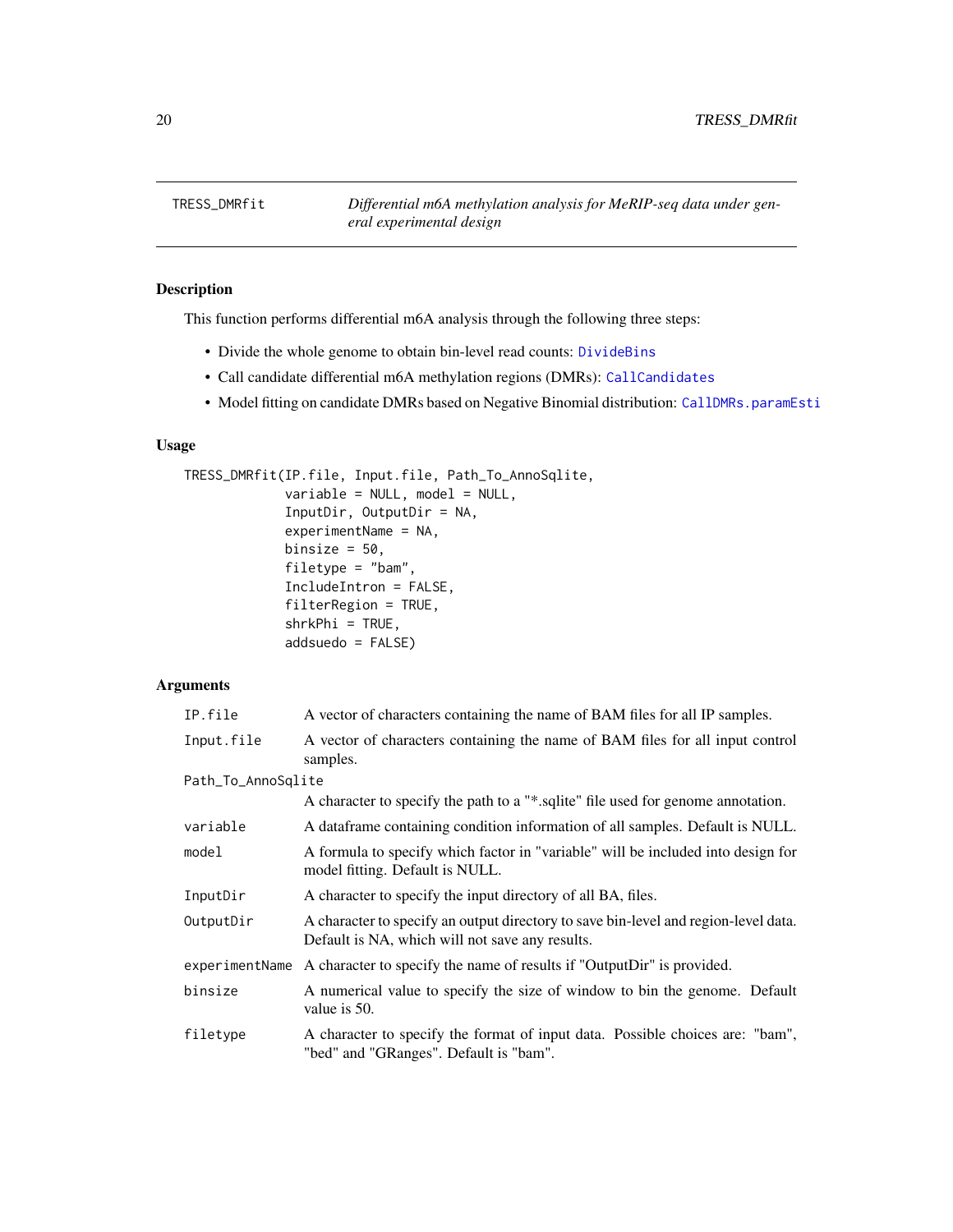<span id="page-19-1"></span><span id="page-19-0"></span>

#### Description

This function performs differential m6A analysis through the following three steps:

- Divide the whole genome to obtain bin-level read counts: [DivideBins](#page-10-1)
- Call candidate differential m6A methylation regions (DMRs): [CallCandidates](#page-2-1)
- Model fitting on candidate DMRs based on Negative Binomial distribution: [CallDMRs.paramEsti](#page-3-1)

#### Usage

```
TRESS_DMRfit(IP.file, Input.file, Path_To_AnnoSqlite,
             variable = NULL, model = NULL,
             InputDir, OutputDir = NA,
             experimentName = NA,
             binsize = 50,
             filetype = "bam",
             IncludeIntron = FALSE,
             filterRegion = TRUE,
             shrkPhi = TRUE,
             addsuedo = FALSE)
```
#### Arguments

| IP.file            | A vector of characters containing the name of BAM files for all IP samples.                                                            |
|--------------------|----------------------------------------------------------------------------------------------------------------------------------------|
| Input.file         | A vector of characters containing the name of BAM files for all input control<br>samples.                                              |
| Path_To_AnnoSqlite |                                                                                                                                        |
|                    | A character to specify the path to a "*.sqlite" file used for genome annotation.                                                       |
| variable           | A data frame containing condition information of all samples. Default is NULL.                                                         |
| model              | A formula to specify which factor in "variable" will be included into design for<br>model fitting. Default is NULL.                    |
| InputDir           | A character to specify the input directory of all BA, files.                                                                           |
| OutputDir          | A character to specify an output directory to save bin-level and region-level data.<br>Default is NA, which will not save any results. |
| experimentName     | A character to specify the name of results if "OutputDir" is provided.                                                                 |
| binsize            | A numerical value to specify the size of window to bin the genome. Default<br>value is 50.                                             |
| filetype           | A character to specify the format of input data. Possible choices are: "bam",<br>"bed" and "GRanges". Default is "bam".                |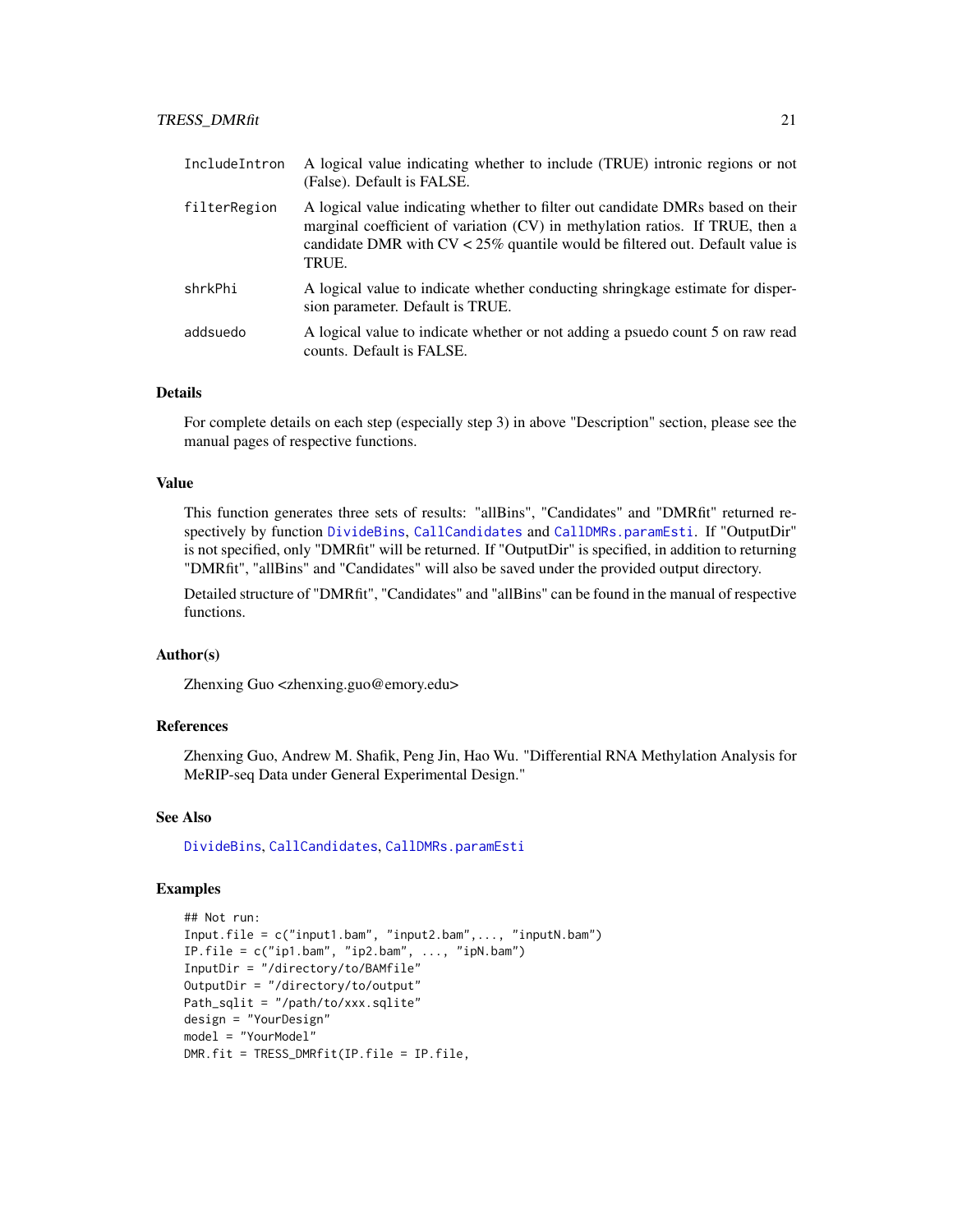<span id="page-20-0"></span>

| IncludeIntron | A logical value indicating whether to include (TRUE) intronic regions or not<br>(False). Default is FALSE.                                                                                                                                                  |
|---------------|-------------------------------------------------------------------------------------------------------------------------------------------------------------------------------------------------------------------------------------------------------------|
| filterRegion  | A logical value indicating whether to filter out candidate DMRs based on their<br>marginal coefficient of variation (CV) in methylation ratios. If TRUE, then a<br>candidate DMR with $CV < 25\%$ quantile would be filtered out. Default value is<br>TRUE. |
| shrkPhi       | A logical value to indicate whether conducting shringkage estimate for disper-<br>sion parameter. Default is TRUE.                                                                                                                                          |
| addsuedo      | A logical value to indicate whether or not adding a psuedo count 5 on raw read<br>counts. Default is FALSE.                                                                                                                                                 |

#### Details

For complete details on each step (especially step 3) in above "Description" section, please see the manual pages of respective functions.

#### Value

This function generates three sets of results: "allBins", "Candidates" and "DMRfit" returned respectively by function [DivideBins](#page-10-1), [CallCandidates](#page-2-1) and [CallDMRs.paramEsti](#page-3-1). If "OutputDir" is not specified, only "DMRfit" will be returned. If "OutputDir" is specified, in addition to returning "DMRfit", "allBins" and "Candidates" will also be saved under the provided output directory.

Detailed structure of "DMRfit", "Candidates" and "allBins" can be found in the manual of respective functions.

#### Author(s)

Zhenxing Guo <zhenxing.guo@emory.edu>

#### References

Zhenxing Guo, Andrew M. Shafik, Peng Jin, Hao Wu. "Differential RNA Methylation Analysis for MeRIP-seq Data under General Experimental Design."

#### See Also

[DivideBins](#page-10-1), [CallCandidates](#page-2-1), [CallDMRs.paramEsti](#page-3-1)

#### Examples

```
## Not run:
Input.file = c("input1.bam", "input2.bam",..., "inputN.bam")
IP.file = c("ip1.bam", "ip2.bam", ..., "ipN.bam")InputDir = "/directory/to/BAMfile"
OutputDir = "/directory/to/output"
Path_sqlit = "/path/to/xxx.sqlite"
design = "YourDesign"
model = "YourModel"
DMR.fit = TRESS_DMRfit(IP.file = IP.file,
```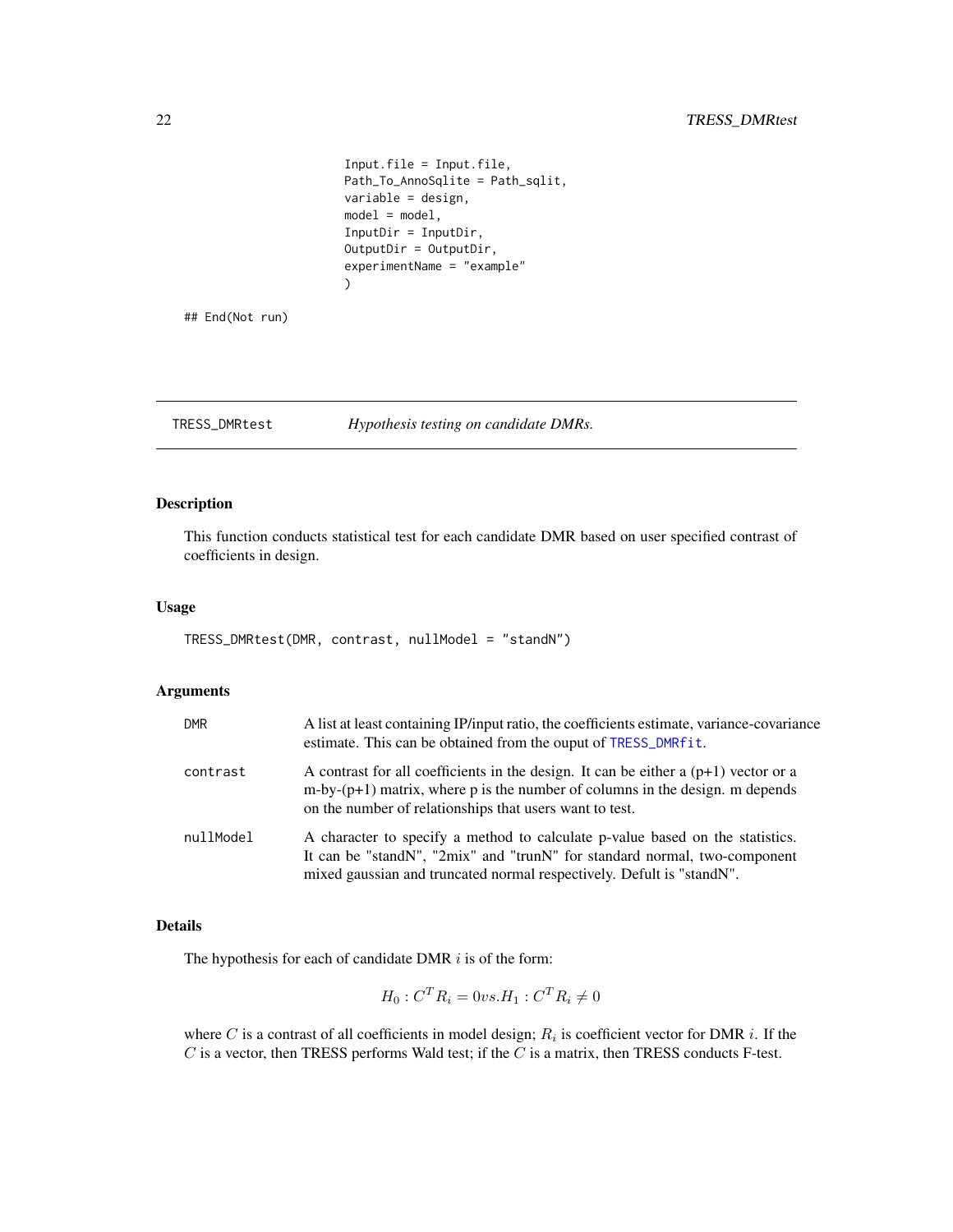```
Input.file = Input.file,
Path_To_AnnoSqlite = Path_sqlit,
variable = design,
model = model,InputDir = InputDir,
OutputDir = OutputDir,
experimentName = "example"
)
```
## End(Not run)

<span id="page-21-1"></span>TRESS\_DMRtest *Hypothesis testing on candidate DMRs.*

#### Description

This function conducts statistical test for each candidate DMR based on user specified contrast of coefficients in design.

#### Usage

TRESS\_DMRtest(DMR, contrast, nullModel = "standN")

#### Arguments

| <b>DMR</b> | A list at least containing IP/input ratio, the coefficients estimate, variance-covariance<br>estimate. This can be obtained from the ouput of TRESS_DMRfit.                                                                            |
|------------|----------------------------------------------------------------------------------------------------------------------------------------------------------------------------------------------------------------------------------------|
| contrast   | A contrast for all coefficients in the design. It can be either a $(p+1)$ vector or a<br>$m-by-(p+1)$ matrix, where p is the number of columns in the design. m depends<br>on the number of relationships that users want to test.     |
| nullModel  | A character to specify a method to calculate p-value based on the statistics.<br>It can be "stand N", "2mix" and "trun N" for standard normal, two-component<br>mixed gaussian and truncated normal respectively. Defult is "stand N". |

#### Details

The hypothesis for each of candidate DMR  $i$  is of the form:

$$
H_0: C^T R_i = 0 \, vs. H_1: C^T R_i \neq 0
$$

where C is a contrast of all coefficients in model design;  $R_i$  is coefficient vector for DMR *i*. If the  $C$  is a vector, then TRESS performs Wald test; if the  $C$  is a matrix, then TRESS conducts F-test.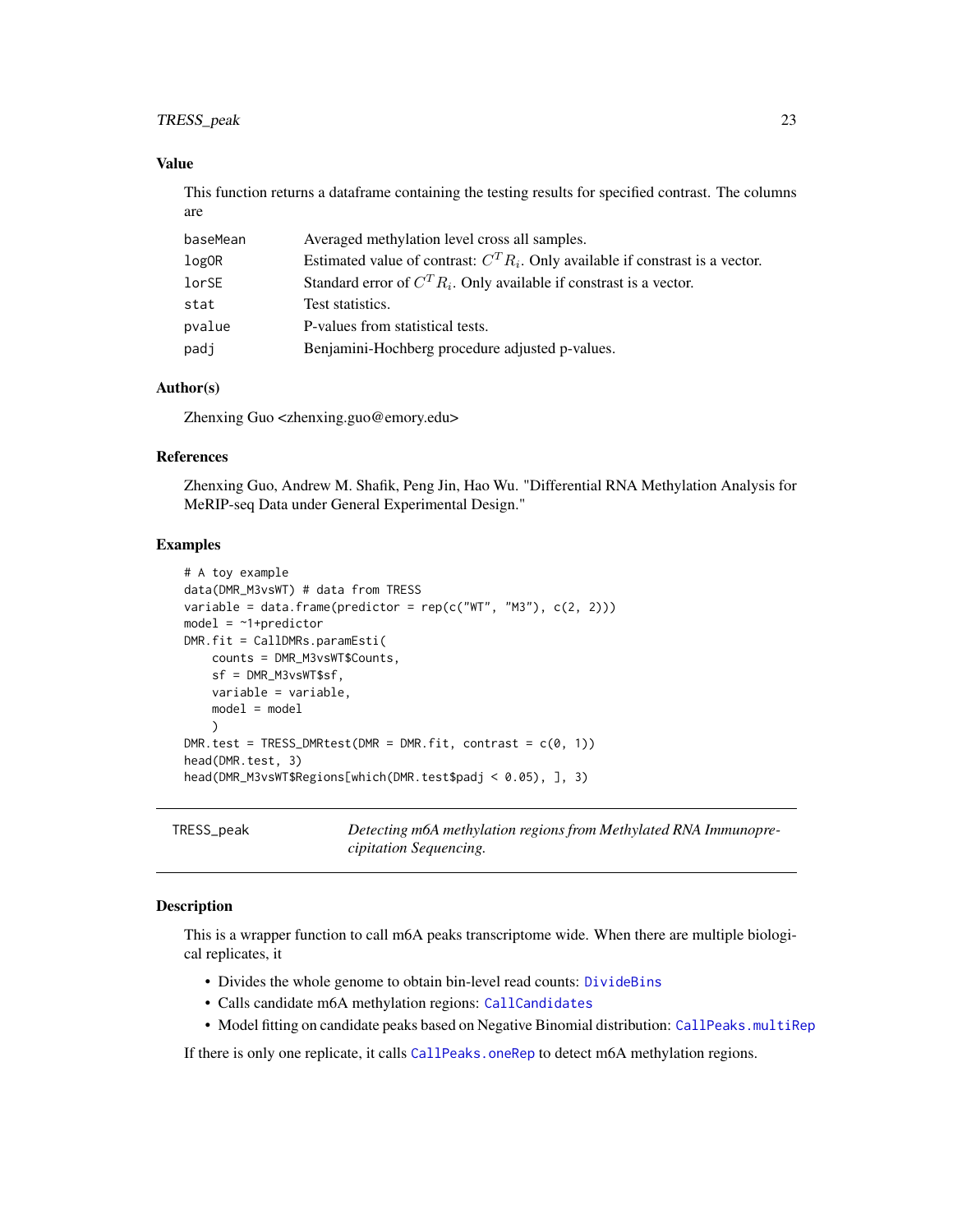#### <span id="page-22-0"></span>TRESS\_peak 23

#### Value

This function returns a dataframe containing the testing results for specified contrast. The columns are

| baseMean | Averaged methylation level cross all samples.                                        |
|----------|--------------------------------------------------------------------------------------|
| logOR    | Estimated value of contrast: $C^{T}R_{i}$ . Only available if constrast is a vector. |
| lorSE    | Standard error of $C^{T}R_{i}$ . Only available if constrast is a vector.            |
| stat     | Test statistics.                                                                     |
| pvalue   | P-values from statistical tests.                                                     |
| padj     | Benjamini-Hochberg procedure adjusted p-values.                                      |

#### Author(s)

Zhenxing Guo <zhenxing.guo@emory.edu>

#### References

Zhenxing Guo, Andrew M. Shafik, Peng Jin, Hao Wu. "Differential RNA Methylation Analysis for MeRIP-seq Data under General Experimental Design."

#### Examples

```
# A toy example
data(DMR_M3vsWT) # data from TRESS
variable = data.frame(predictor = rep(c("WT", "M3"), c(2, 2)))model = ~1+predictor
DMR.fit = CallDMRs.paramEsti(
   counts = DMR_M3vsWT$Counts,
    sf = DMR_M3vsWT$sf,
   variable = variable,
   model = model\lambdaDMR.test = TRESS_DMRtest(DMR = DMR.fit, contrast = <math>c(0, 1)</math>)head(DMR.test, 3)
head(DMR_M3vsWT$Regions[which(DMR.test$padj < 0.05), ], 3)
```
TRESS\_peak *Detecting m6A methylation regions from Methylated RNA Immunoprecipitation Sequencing.*

#### Description

This is a wrapper function to call m6A peaks transcriptome wide. When there are multiple biological replicates, it

- Divides the whole genome to obtain bin-level read counts: [DivideBins](#page-10-1)
- Calls candidate m6A methylation regions: [CallCandidates](#page-2-1)
- Model fitting on candidate peaks based on Negative Binomial distribution: [CallPeaks.multiRep](#page-4-1)

If there is only one replicate, it calls [CallPeaks.oneRep](#page-6-1) to detect m6A methylation regions.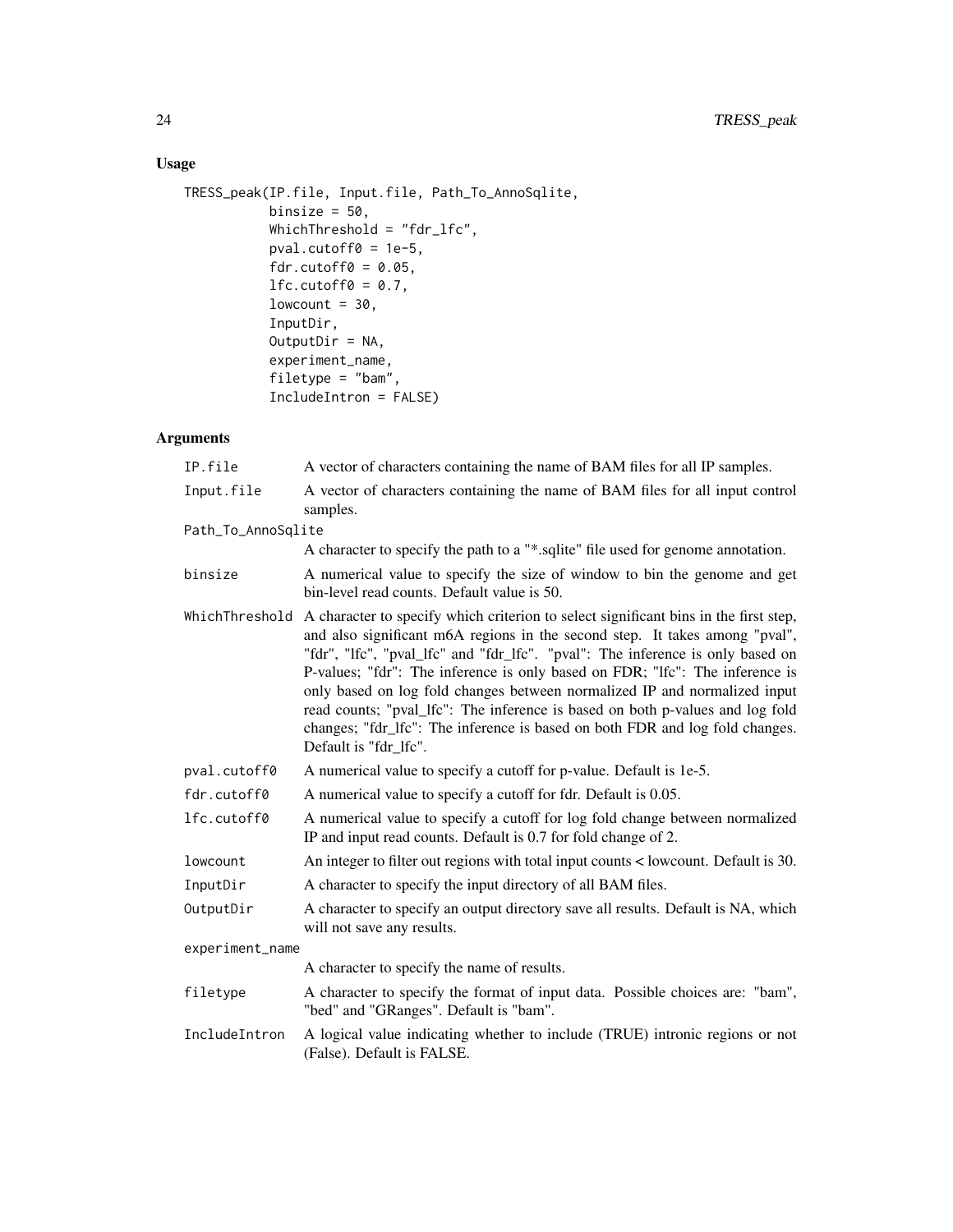#### Usage

```
TRESS_peak(IP.file, Input.file, Path_To_AnnoSqlite,
          binsize = 50,
          WhichThreshold = "fdr_lfc",
          pval.cutoff@ = 1e-5,fdr.cutoff0 = 0.05,
          lfc.cutoff@ = 0.7,lowcount = 30,
          InputDir,
          OutputDir = NA,
          experiment_name,
          filetype = "bam",
          IncludeIntron = FALSE)
```
### Arguments

| IP.file            | A vector of characters containing the name of BAM files for all IP samples.                                                                                                                                                                                                                                                                                                                                                                                                                                                                                                                                                 |  |
|--------------------|-----------------------------------------------------------------------------------------------------------------------------------------------------------------------------------------------------------------------------------------------------------------------------------------------------------------------------------------------------------------------------------------------------------------------------------------------------------------------------------------------------------------------------------------------------------------------------------------------------------------------------|--|
| Input.file         | A vector of characters containing the name of BAM files for all input control<br>samples.                                                                                                                                                                                                                                                                                                                                                                                                                                                                                                                                   |  |
| Path_To_AnnoSqlite |                                                                                                                                                                                                                                                                                                                                                                                                                                                                                                                                                                                                                             |  |
|                    | A character to specify the path to a "*.sqlite" file used for genome annotation.                                                                                                                                                                                                                                                                                                                                                                                                                                                                                                                                            |  |
| binsize            | A numerical value to specify the size of window to bin the genome and get<br>bin-level read counts. Default value is 50.                                                                                                                                                                                                                                                                                                                                                                                                                                                                                                    |  |
|                    | WhichThreshold A character to specify which criterion to select significant bins in the first step,<br>and also significant m6A regions in the second step. It takes among "pval",<br>"fdr", "lfc", "pval_lfc" and "fdr_lfc". "pval": The inference is only based on<br>P-values; "fdr": The inference is only based on FDR; "Ifc": The inference is<br>only based on log fold changes between normalized IP and normalized input<br>read counts; "pval_lfc": The inference is based on both p-values and log fold<br>changes; "fdr_lfc": The inference is based on both FDR and log fold changes.<br>Default is "fdr 1fc". |  |
| pval.cutoff0       | A numerical value to specify a cutoff for p-value. Default is 1e-5.                                                                                                                                                                                                                                                                                                                                                                                                                                                                                                                                                         |  |
| fdr.cutoff0        | A numerical value to specify a cutoff for fdr. Default is 0.05.                                                                                                                                                                                                                                                                                                                                                                                                                                                                                                                                                             |  |
| lfc.cutoff0        | A numerical value to specify a cutoff for log fold change between normalized<br>IP and input read counts. Default is 0.7 for fold change of 2.                                                                                                                                                                                                                                                                                                                                                                                                                                                                              |  |
| lowcount           | An integer to filter out regions with total input counts < lowcount. Default is 30.                                                                                                                                                                                                                                                                                                                                                                                                                                                                                                                                         |  |
| InputDir           | A character to specify the input directory of all BAM files.                                                                                                                                                                                                                                                                                                                                                                                                                                                                                                                                                                |  |
| OutputDir          | A character to specify an output directory save all results. Default is NA, which<br>will not save any results.                                                                                                                                                                                                                                                                                                                                                                                                                                                                                                             |  |
| experiment_name    |                                                                                                                                                                                                                                                                                                                                                                                                                                                                                                                                                                                                                             |  |
|                    | A character to specify the name of results.                                                                                                                                                                                                                                                                                                                                                                                                                                                                                                                                                                                 |  |
| filetype           | A character to specify the format of input data. Possible choices are: "bam",<br>"bed" and "GRanges". Default is "bam".                                                                                                                                                                                                                                                                                                                                                                                                                                                                                                     |  |
| IncludeIntron      | A logical value indicating whether to include (TRUE) intronic regions or not<br>(False). Default is FALSE.                                                                                                                                                                                                                                                                                                                                                                                                                                                                                                                  |  |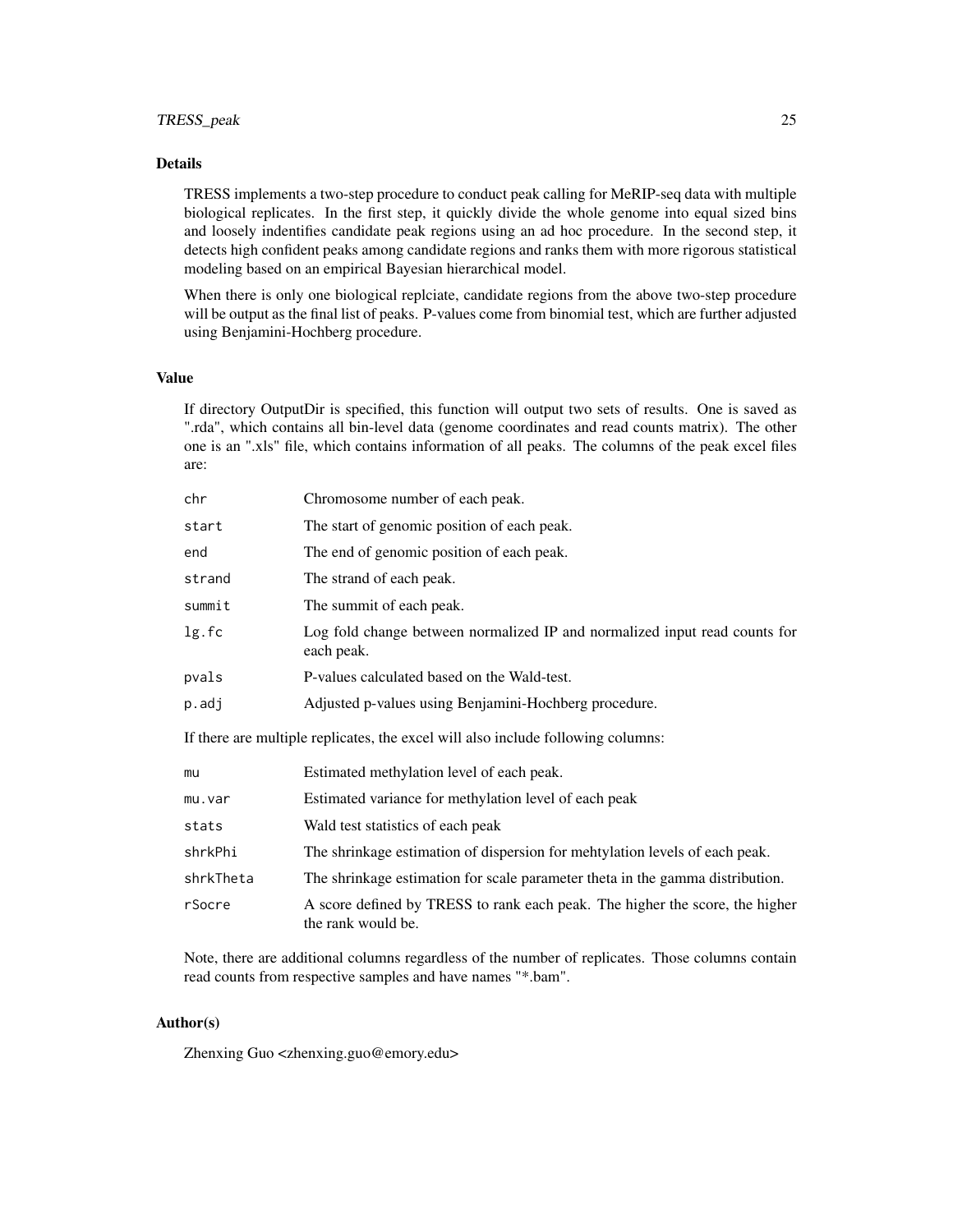#### Details

TRESS implements a two-step procedure to conduct peak calling for MeRIP-seq data with multiple biological replicates. In the first step, it quickly divide the whole genome into equal sized bins and loosely indentifies candidate peak regions using an ad hoc procedure. In the second step, it detects high confident peaks among candidate regions and ranks them with more rigorous statistical modeling based on an empirical Bayesian hierarchical model.

When there is only one biological replciate, candidate regions from the above two-step procedure will be output as the final list of peaks. P-values come from binomial test, which are further adjusted using Benjamini-Hochberg procedure.

#### Value

If directory OutputDir is specified, this function will output two sets of results. One is saved as ".rda", which contains all bin-level data (genome coordinates and read counts matrix). The other one is an ".xls" file, which contains information of all peaks. The columns of the peak excel files are:

| chr                                                                              | Chromosome number of each peak.                                                          |
|----------------------------------------------------------------------------------|------------------------------------------------------------------------------------------|
| start                                                                            | The start of genomic position of each peak.                                              |
| end                                                                              | The end of genomic position of each peak.                                                |
| strand                                                                           | The strand of each peak.                                                                 |
| summit                                                                           | The summit of each peak.                                                                 |
| lg.fc                                                                            | Log fold change between normalized IP and normalized input read counts for<br>each peak. |
| pvals                                                                            | P-values calculated based on the Wald-test.                                              |
| p.adj                                                                            | Adjusted p-values using Benjamini-Hochberg procedure.                                    |
| If there are multiple replicates, the excel will also include following columns: |                                                                                          |
|                                                                                  |                                                                                          |

mu Estimated methylation level of each peak. mu.var Estimated variance for methylation level of each peak stats Wald test statistics of each peak shrkPhi The shrinkage estimation of dispersion for mehtylation levels of each peak. shrkTheta The shrinkage estimation for scale parameter theta in the gamma distribution. rSocre A score defined by TRESS to rank each peak. The higher the score, the higher the rank would be.

Note, there are additional columns regardless of the number of replicates. Those columns contain read counts from respective samples and have names "\*.bam".

#### Author(s)

Zhenxing Guo <zhenxing.guo@emory.edu>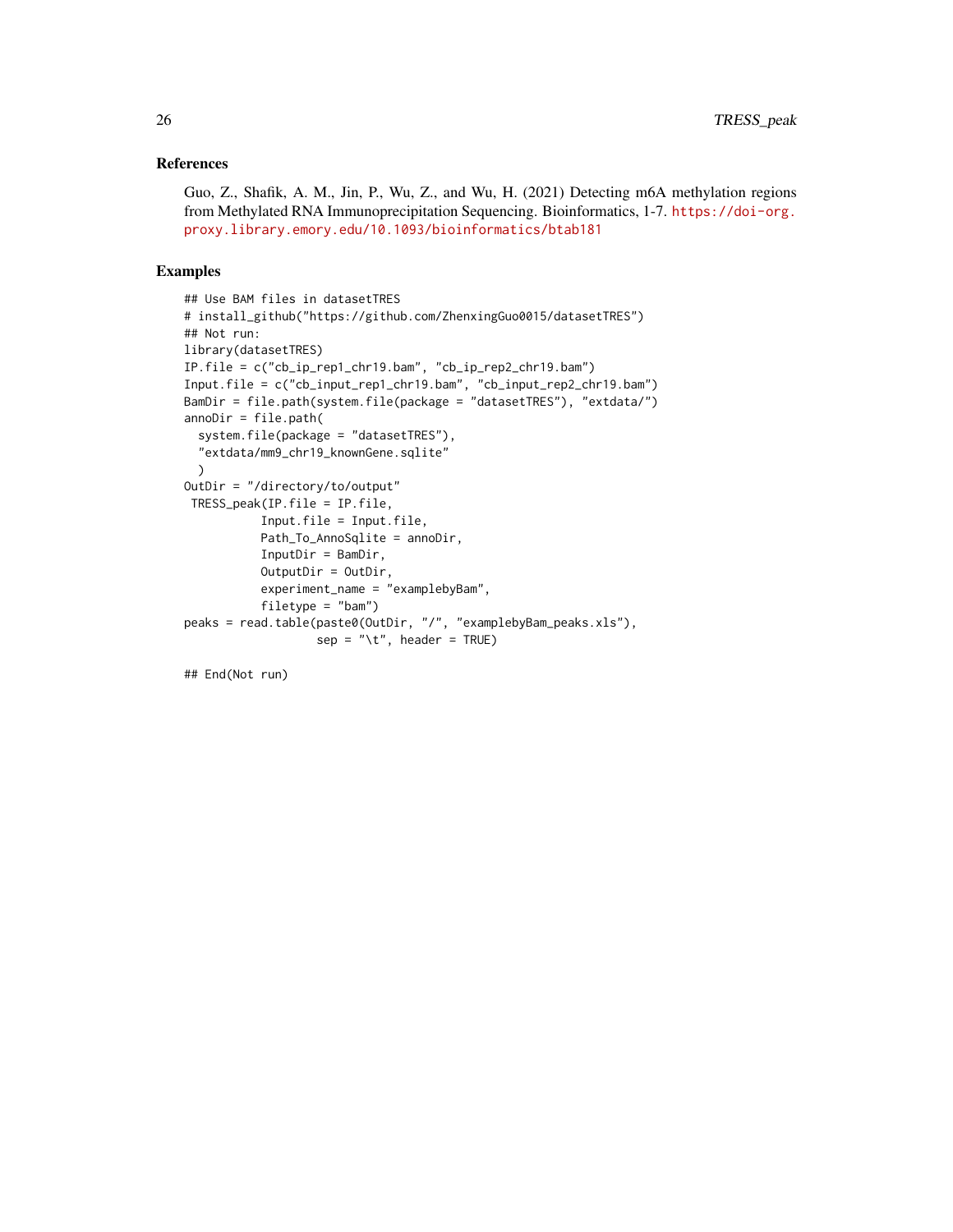#### References

Guo, Z., Shafik, A. M., Jin, P., Wu, Z., and Wu, H. (2021) Detecting m6A methylation regions from Methylated RNA Immunoprecipitation Sequencing. Bioinformatics, 1-7. [https://doi-org.](https://doi-org.proxy.library.emory.edu/10.1093/bioinformatics/btab181) [proxy.library.emory.edu/10.1093/bioinformatics/btab181](https://doi-org.proxy.library.emory.edu/10.1093/bioinformatics/btab181)

#### Examples

```
## Use BAM files in datasetTRES
# install_github("https://github.com/ZhenxingGuo0015/datasetTRES")
## Not run:
library(datasetTRES)
IP.file = c("cb_ip_rep1_chr19.bam", "cb_ip_rep2_chr19.bam")
Input.file = c("cb_input_rep1_chr19.bam", "cb_input_rep2_chr19.bam")
BamDir = file.path(system.file(package = "datasetTRES"), "extdata/")
annoDir = file.path(
  system.file(package = "datasetTRES"),
  "extdata/mm9_chr19_knownGene.sqlite"
  )
OutDir = "/directory/to/output"
TRESS_peak(IP.file = IP.file,
           Input.file = Input.file,
           Path_To_AnnoSqlite = annoDir,
           InputDir = BamDir,
           OutputDir = OutDir,
           experiment_name = "examplebyBam",
           filetype = "bam")
peaks = read.table(paste0(OutDir, "/", "examplebyBam_peaks.xls"),
                   sep = "\t", header = TRUE)
```
## End(Not run)